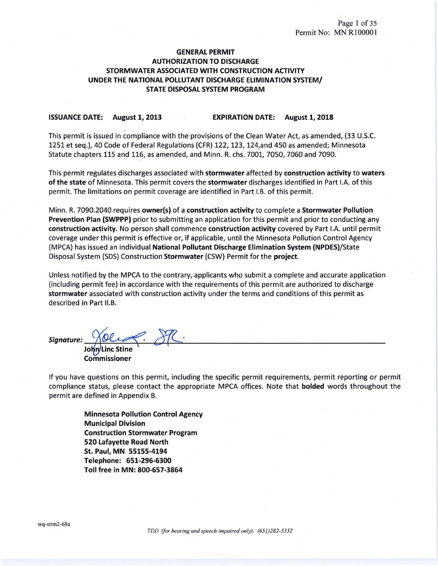# GENERAL PERMIT AUTHORIZATION TO DISCHARGE STORMWATER ASSOCIATED WITH CONSTRUCTION ACTIVITY UNDER THE NATIONAL POLLUTANT DISCHARGE ELIMINATION SYSTEM/ STATE DISPOSAL SYSTEM PROGRAM

#### ISSUANCE DATE: August 1, 2013 EXPIRATION DATE: August 1, 2018

This permit is issued in compliance with the provisions of the Clean Water Act, as amended, {33 U.S.C. 1251 et seq.), 40 Code of Federal Regulations (CFR) 122, 123, 124,and 450 as amended; Minnesota Statute chapters 115 and 116, as amended, and Minn. R. chs. 7001, 7050, 7060 and 7090.

This permit regulates discharges associated with stormwater affected by construction activity to waters of the state of Minnesota. This permit covers the stormwater discharges identified in Part I.A. of this permit. The limitations on permit coverage are identified in Part l.B. of this permit.

Minn. R. 7090.2040 requires owner(s) of a construction activity to complete a Stormwater Pollution Prevention Plan (SWPPP) prior to submitting an application for this permit and prior to conducting any construction activity. No person shall commence construction activity covered by Part I.A. until permit coverage under this permit is effective or, if applicable, until the Minnesota Pollution Control Agency (MPCA) has issued an individual National Pollutant Discharge Elimination System (NPDES)/State Disposal System (SDS) Construction Stormwater (CSW) Permit for the project.

Unless notified by the MPCA to the contrary, applicants who submit a complete and accurate application (including permit fee) in accordance with the requirements of this permit are authorized to discharge stormwater associated with construction activity under the terms and conditions of this permit as described in Part 11.B.

 $Signature:$   $\sqrt{OC}$   $\sqrt{OC}$   $\sqrt{OC}$ 

John/Linc Stine Commissioner

If you have questions on this permit, including the specific permit requirements, permit reporting or permit compliance status, please contact the appropriate MPCA offices. Note that bolded words throughout the permit are defined in Appendix B.

Minnesota Pollution Control Agency Municipal Division Construction Stormwater Program 520 Lafayette Road North St. Paul, MN 55155-4194 Telephone: 651-296-6300 Toll free in MN: 800-657-3864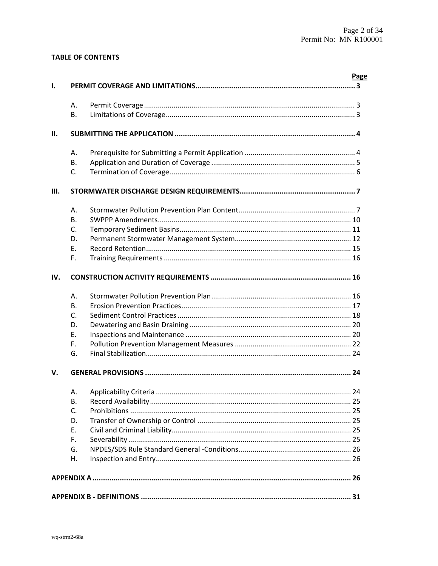# **TABLE OF CONTENTS**

| ı.   |              |                                                         | <b>Page</b> |  |
|------|--------------|---------------------------------------------------------|-------------|--|
|      | Α.           |                                                         |             |  |
|      | Β.           |                                                         |             |  |
| II.  |              |                                                         |             |  |
|      | А.           |                                                         |             |  |
|      | <b>B.</b>    |                                                         |             |  |
|      | C.           |                                                         |             |  |
| III. |              |                                                         |             |  |
|      | А.           |                                                         |             |  |
|      | <b>B.</b>    |                                                         |             |  |
|      | C.           |                                                         |             |  |
|      | D.           |                                                         |             |  |
|      | F.           |                                                         |             |  |
|      | F.           |                                                         |             |  |
| IV.  |              |                                                         |             |  |
|      | A.           |                                                         |             |  |
|      | <b>B.</b>    |                                                         |             |  |
|      | $\mathsf{C}$ |                                                         |             |  |
|      | D.           |                                                         |             |  |
|      | Ε.           |                                                         |             |  |
|      | F.           |                                                         |             |  |
|      | G.           |                                                         |             |  |
| v.   |              | GENERAL PROVISIONS ……………………………………………………………………………………… 24 |             |  |
|      | А.           |                                                         |             |  |
|      | <b>B.</b>    |                                                         |             |  |
|      | C.           |                                                         |             |  |
|      | D.           |                                                         |             |  |
|      | E.           |                                                         |             |  |
|      | F.           |                                                         |             |  |
|      | G.           |                                                         |             |  |
|      | Η.           |                                                         |             |  |
|      |              |                                                         |             |  |
|      |              |                                                         |             |  |
|      |              |                                                         |             |  |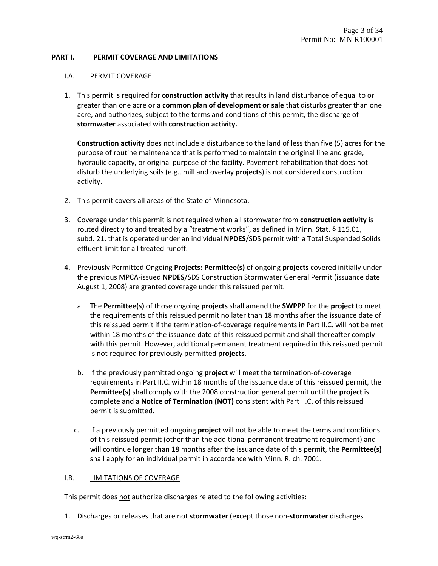### **PART I. PERMIT COVERAGE AND LIMITATIONS**

### I.A. PERMIT COVERAGE

1. This permit is required for **construction activity** that results in land disturbance of equal to or greater than one acre or a **common plan of development or sale** that disturbs greater than one acre, and authorizes, subject to the terms and conditions of this permit, the discharge of **stormwater** associated with **construction activity.**

**Construction activity** does not include a disturbance to the land of less than five (5) acres for the purpose of routine maintenance that is performed to maintain the original line and grade, hydraulic capacity, or original purpose of the facility. Pavement rehabilitation that does not disturb the underlying soils (e.g., mill and overlay **projects**) is not considered construction activity.

- 2. This permit covers all areas of the State of Minnesota.
- 3. Coverage under this permit is not required when all stormwater from **construction activity** is routed directly to and treated by a "treatment works", as defined in Minn. Stat. § 115.01, subd. 21, that is operated under an individual **NPDES**/SDS permit with a Total Suspended Solids effluent limit for all treated runoff.
- 4. Previously Permitted Ongoing **Projects: Permittee(s)** of ongoing **projects** covered initially under the previous MPCA‐issued **NPDES**/SDS Construction Stormwater General Permit (issuance date August 1, 2008) are granted coverage under this reissued permit.
	- a. The **Permittee(s)** of those ongoing **projects** shall amend the **SWPPP** for the **project** to meet the requirements of this reissued permit no later than 18 months after the issuance date of this reissued permit if the termination‐of‐coverage requirements in Part II.C. will not be met within 18 months of the issuance date of this reissued permit and shall thereafter comply with this permit. However, additional permanent treatment required in this reissued permit is not required for previously permitted **projects**.
	- b. If the previously permitted ongoing **project** will meet the termination‐of‐coverage requirements in Part II.C. within 18 months of the issuance date of this reissued permit, the **Permittee(s)** shall comply with the 2008 construction general permit until the **project** is complete and a **Notice of Termination (NOT)** consistent with Part II.C. of this reissued permit is submitted.
	- c. If a previously permitted ongoing **project** will not be able to meet the terms and conditions of this reissued permit (other than the additional permanent treatment requirement) and will continue longer than 18 months after the issuance date of this permit, the **Permittee(s)** shall apply for an individual permit in accordance with Minn. R. ch. 7001.

#### I.B. LIMITATIONS OF COVERAGE

This permit does not authorize discharges related to the following activities:

1. Discharges or releases that are not **stormwater** (except those non‐**stormwater** discharges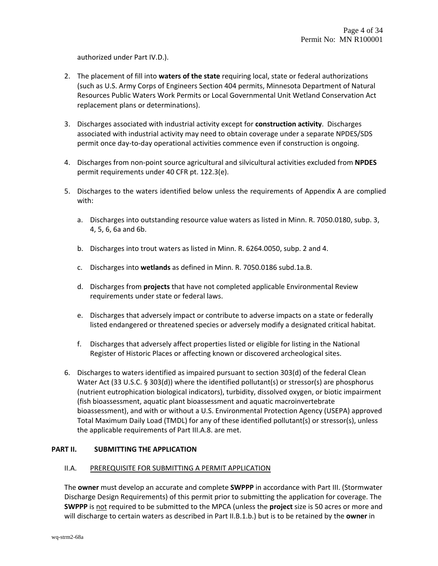authorized under Part IV.D.).

- 2. The placement of fill into **waters of the state** requiring local, state or federal authorizations (such as U.S. Army Corps of Engineers Section 404 permits, Minnesota Department of Natural Resources Public Waters Work Permits or Local Governmental Unit Wetland Conservation Act replacement plans or determinations).
- 3. Discharges associated with industrial activity except for **construction activity**. Discharges associated with industrial activity may need to obtain coverage under a separate NPDES/SDS permit once day‐to‐day operational activities commence even if construction is ongoing.
- 4. Discharges from non‐point source agricultural and silvicultural activities excluded from **NPDES** permit requirements under 40 CFR pt. 122.3(e).
- 5. Discharges to the waters identified below unless the requirements of Appendix A are complied with:
	- a. Discharges into outstanding resource value waters as listed in Minn. R. 7050.0180, subp. 3, 4, 5, 6, 6a and 6b.
	- b. Discharges into trout waters as listed in Minn. R. 6264.0050, subp. 2 and 4.
	- c. Discharges into **wetlands** as defined in Minn. R. 7050.0186 subd.1a.B.
	- d. Discharges from **projects** that have not completed applicable Environmental Review requirements under state or federal laws.
	- e. Discharges that adversely impact or contribute to adverse impacts on a state or federally listed endangered or threatened species or adversely modify a designated critical habitat.
	- f. Discharges that adversely affect properties listed or eligible for listing in the National Register of Historic Places or affecting known or discovered archeological sites.
- 6. Discharges to waters identified as impaired pursuant to section 303(d) of the federal Clean Water Act (33 U.S.C. § 303(d)) where the identified pollutant(s) or stressor(s) are phosphorus (nutrient eutrophication biological indicators), turbidity, dissolved oxygen, or biotic impairment (fish bioassessment, aquatic plant bioassessment and aquatic macroinvertebrate bioassessment), and with or without a U.S. Environmental Protection Agency (USEPA) approved Total Maximum Daily Load (TMDL) for any of these identified pollutant(s) or stressor(s), unless the applicable requirements of Part III.A.8. are met.

# **PART II. SUBMITTING THE APPLICATION**

# II.A. PREREQUISITE FOR SUBMITTING A PERMIT APPLICATION

The **owner** must develop an accurate and complete **SWPPP** in accordance with Part III. (Stormwater Discharge Design Requirements) of this permit prior to submitting the application for coverage. The **SWPPP** is not required to be submitted to the MPCA (unless the **project** size is 50 acres or more and will discharge to certain waters as described in Part II.B.1.b.) but is to be retained by the **owner** in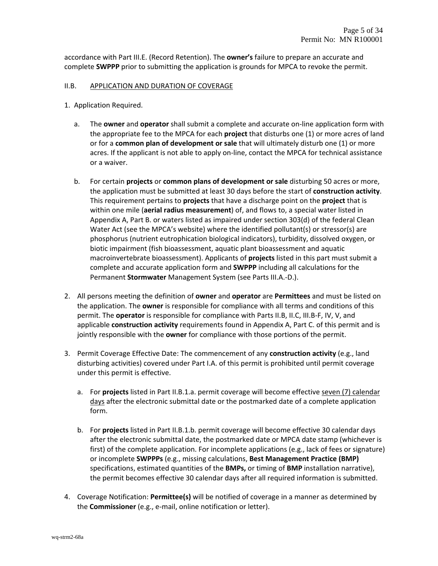accordance with Part III.E. (Record Retention). The **owner's** failure to prepare an accurate and complete **SWPPP** prior to submitting the application is grounds for MPCA to revoke the permit.

#### II.B. APPLICATION AND DURATION OF COVERAGE

- 1. Application Required.
	- a. The **owner** and **operator** shall submit a complete and accurate on‐line application form with the appropriate fee to the MPCA for each **project** that disturbs one (1) or more acres of land or for a **common plan of development or sale** that will ultimately disturb one (1) or more acres. If the applicant is not able to apply on-line, contact the MPCA for technical assistance or a waiver.
	- b. For certain **projects** or **common plans of development or sale** disturbing 50 acres or more, the application must be submitted at least 30 days before the start of **construction activity**. This requirement pertains to **projects** that have a discharge point on the **project** that is within one mile (**aerial radius measurement**) of, and flows to, a special water listed in Appendix A, Part B. or waters listed as impaired under section 303(d) of the federal Clean Water Act (see the MPCA's website) where the identified pollutant(s) or stressor(s) are phosphorus (nutrient eutrophication biological indicators), turbidity, dissolved oxygen, or biotic impairment (fish bioassessment, aquatic plant bioassessment and aquatic macroinvertebrate bioassessment). Applicants of **projects** listed in this part must submit a complete and accurate application form and **SWPPP** including all calculations for the Permanent **Stormwater** Management System (see Parts III.A.‐D.).
- 2. All persons meeting the definition of **owner** and **operator** are **Permittees** and must be listed on the application. The **owner** is responsible for compliance with all terms and conditions of this permit. The **operator** is responsible for compliance with Parts II.B, II.C, III.B‐F, IV, V, and applicable **construction activity** requirements found in Appendix A, Part C. of this permit and is jointly responsible with the **owner** for compliance with those portions of the permit.
- 3. Permit Coverage Effective Date: The commencement of any **construction activity** (e.g., land disturbing activities) covered under Part I.A. of this permit is prohibited until permit coverage under this permit is effective.
	- a. For **projects** listed in Part II.B.1.a. permit coverage will become effective seven (7) calendar days after the electronic submittal date or the postmarked date of a complete application form.
	- b. For **projects** listed in Part II.B.1.b. permit coverage will become effective 30 calendar days after the electronic submittal date, the postmarked date or MPCA date stamp (whichever is first) of the complete application. For incomplete applications (e.g., lack of fees or signature) or incomplete **SWPPPs** (e.g., missing calculations, **Best Management Practice (BMP)** specifications, estimated quantities of the **BMPs,** or timing of **BMP** installation narrative), the permit becomes effective 30 calendar days after all required information is submitted.
- 4. Coverage Notification: **Permittee(s)** will be notified of coverage in a manner as determined by the **Commissioner** (e.g., e‐mail, online notification or letter).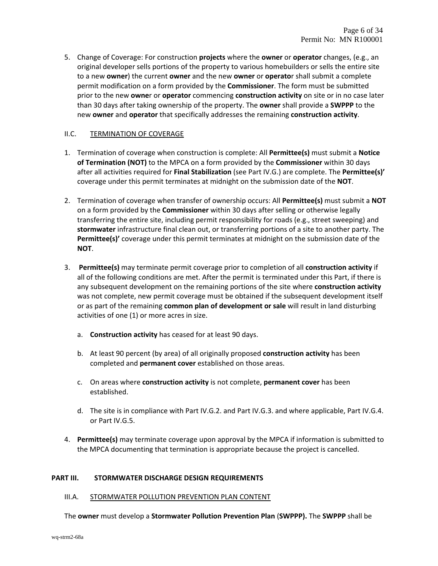5. Change of Coverage: For construction **projects** where the **owner** or **operator** changes, (e.g., an original developer sells portions of the property to various homebuilders or sells the entire site to a new **owner**) the current **owner** and the new **owner** or **operato**r shall submit a complete permit modification on a form provided by the **Commissioner**. The form must be submitted prior to the new **owne**r or **operator** commencing **construction activity** on site or in no case later than 30 days after taking ownership of the property. The **owner** shall provide a **SWPPP** to the new **owner** and **operator** that specifically addresses the remaining **construction activity**.

### II.C. TERMINATION OF COVERAGE

- 1. Termination of coverage when construction is complete: All **Permittee(s)** must submit a **Notice of Termination (NOT)** to the MPCA on a form provided by the **Commissioner** within 30 days after all activities required for **Final Stabilization** (see Part IV.G.) are complete. The **Permittee(s)'** coverage under this permit terminates at midnight on the submission date of the **NOT**.
- 2. Termination of coverage when transfer of ownership occurs: All **Permittee(s)** must submit a **NOT** on a form provided by the **Commissioner** within 30 days after selling or otherwise legally transferring the entire site, including permit responsibility for roads (e.g., street sweeping) and **stormwater** infrastructure final clean out, or transferring portions of a site to another party. The **Permittee(s)'** coverage under this permit terminates at midnight on the submission date of the **NOT**.
- 3. **Permittee(s)** may terminate permit coverage prior to completion of all **construction activity** if all of the following conditions are met. After the permit is terminated under this Part, if there is any subsequent development on the remaining portions of the site where **construction activity** was not complete, new permit coverage must be obtained if the subsequent development itself or as part of the remaining **common plan of development or sale** will result in land disturbing activities of one (1) or more acres in size.
	- a. **Construction activity** has ceased for at least 90 days.
	- b. At least 90 percent (by area) of all originally proposed **construction activity** has been completed and **permanent cover** established on those areas.
	- c. On areas where **construction activity** is not complete, **permanent cover** has been established.
	- d. The site is in compliance with Part IV.G.2. and Part IV.G.3. and where applicable, Part IV.G.4. or Part IV.G.5.
- 4. **Permittee(s)** may terminate coverage upon approval by the MPCA if information is submitted to the MPCA documenting that termination is appropriate because the project is cancelled.

#### **PART III. STORMWATER DISCHARGE DESIGN REQUIREMENTS**

#### III.A. STORMWATER POLLUTION PREVENTION PLAN CONTENT

The **owner** must develop a **Stormwater Pollution Prevention Plan** (**SWPPP).** The **SWPPP** shall be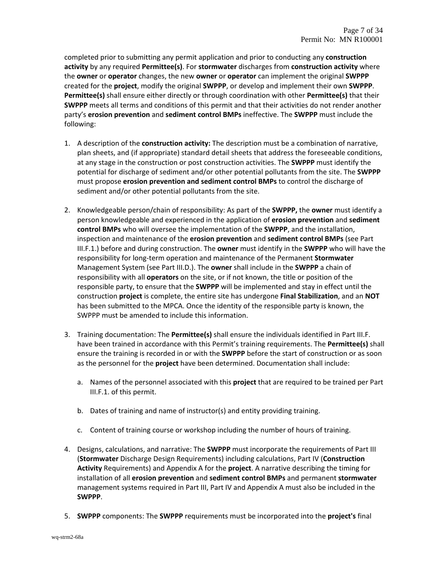completed prior to submitting any permit application and prior to conducting any **construction activity** by any required **Permittee(s)**. For **stormwater** discharges from **construction activity** where the **owner** or **operator** changes, the new **owner** or **operator** can implement the original **SWPPP** created for the **project**, modify the original **SWPPP**, or develop and implement their own **SWPPP**. **Permittee(s)** shall ensure either directly or through coordination with other **Permittee(s)** that their **SWPPP** meets all terms and conditions of this permit and that their activities do not render another party's **erosion prevention** and **sediment control BMPs** ineffective. The **SWPPP** must include the following:

- 1. A description of the **construction activity:** The description must be a combination of narrative, plan sheets, and (if appropriate) standard detail sheets that address the foreseeable conditions, at any stage in the construction or post construction activities. The **SWPPP** must identify the potential for discharge of sediment and/or other potential pollutants from the site. The **SWPPP** must propose **erosion prevention and sediment control BMPs** to control the discharge of sediment and/or other potential pollutants from the site.
- 2. Knowledgeable person/chain of responsibility: As part of the **SWPPP,** the **owner** must identify a person knowledgeable and experienced in the application of **erosion prevention** and **sediment control BMPs** who will oversee the implementation of the **SWPPP**, and the installation, inspection and maintenance of the **erosion prevention** and **sediment control BMPs** (see Part III.F.1.) before and during construction. The **owner** must identify in the **SWPPP** who will have the responsibility for long‐term operation and maintenance of the Permanent **Stormwater** Management System (see Part III.D.). The **owner** shall include in the **SWPPP** a chain of responsibility with all **operators** on the site, or if not known, the title or position of the responsible party, to ensure that the **SWPPP** will be implemented and stay in effect until the construction **project** is complete, the entire site has undergone **Final Stabilization**, and an **NOT** has been submitted to the MPCA. Once the identity of the responsible party is known, the SWPPP must be amended to include this information.
- 3. Training documentation: The **Permittee(s)** shall ensure the individuals identified in Part III.F. have been trained in accordance with this Permit's training requirements. The **Permittee(s)** shall ensure the training is recorded in or with the **SWPPP** before the start of construction or as soon as the personnel for the **project** have been determined. Documentation shall include:
	- a. Names of the personnel associated with this **project** that are required to be trained per Part III.F.1. of this permit.
	- b. Dates of training and name of instructor(s) and entity providing training.
	- c. Content of training course or workshop including the number of hours of training.
- 4. Designs, calculations, and narrative: The **SWPPP** must incorporate the requirements of Part III (**Stormwater** Discharge Design Requirements) including calculations, Part IV (**Construction Activity** Requirements) and Appendix A for the **project**. A narrative describing the timing for installation of all **erosion prevention** and **sediment control BMPs** and permanent **stormwater** management systems required in Part III, Part IV and Appendix A must also be included in the **SWPPP**.
- 5. **SWPPP** components: The **SWPPP** requirements must be incorporated into the **project's** final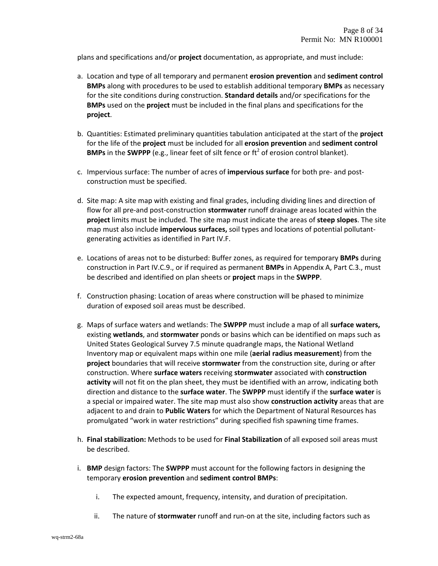plans and specifications and/or **project** documentation, as appropriate, and must include:

- a. Location and type of all temporary and permanent **erosion prevention** and **sediment control BMPs** along with procedures to be used to establish additional temporary **BMPs** as necessary for the site conditions during construction. **Standard details** and/or specifications for the **BMPs** used on the **project** must be included in the final plans and specifications for the **project**.
- b. Quantities: Estimated preliminary quantities tabulation anticipated at the start of the **project** for the life of the **project** must be included for all **erosion prevention** and **sediment control BMPs** in the **SWPPP** (e.g., linear feet of silt fence or ft<sup>2</sup> of erosion control blanket).
- c. Impervious surface: The number of acres of **impervious surface** for both pre‐ and post‐ construction must be specified.
- d. Site map: A site map with existing and final grades, including dividing lines and direction of flow for all pre‐and post‐construction **stormwater** runoff drainage areas located within the **project** limits must be included. The site map must indicate the areas of **steep slopes**. The site map must also include **impervious surfaces,** soil types and locations of potential pollutant‐ generating activities as identified in Part IV.F.
- e. Locations of areas not to be disturbed: Buffer zones, as required for temporary **BMPs** during construction in Part IV.C.9., or if required as permanent **BMPs** in Appendix A, Part C.3., must be described and identified on plan sheets or **project** maps in the **SWPPP**.
- f. Construction phasing: Location of areas where construction will be phased to minimize duration of exposed soil areas must be described.
- g. Maps of surface waters and wetlands: The **SWPPP** must include a map of all **surface waters,** existing **wetlands**, and **stormwater** ponds or basins which can be identified on maps such as United States Geological Survey 7.5 minute quadrangle maps, the National Wetland Inventory map or equivalent maps within one mile (**aerial radius measurement**) from the **project** boundaries that will receive **stormwater** from the construction site, during or after construction. Where **surface waters** receiving **stormwater** associated with **construction activity** will not fit on the plan sheet, they must be identified with an arrow, indicating both direction and distance to the **surface water**. The **SWPPP** must identify if the **surface water** is a special or impaired water. The site map must also show **construction activity** areas that are adjacent to and drain to **Public Waters** for which the Department of Natural Resources has promulgated "work in water restrictions" during specified fish spawning time frames.
- h. **Final stabilization:** Methods to be used for **Final Stabilization** of all exposed soil areas must be described.
- i. **BMP** design factors: The **SWPPP** must account for the following factors in designing the temporary **erosion prevention** and **sediment control BMPs**:
	- i. The expected amount, frequency, intensity, and duration of precipitation.
	- ii. The nature of **stormwater** runoff and run‐on at the site, including factors such as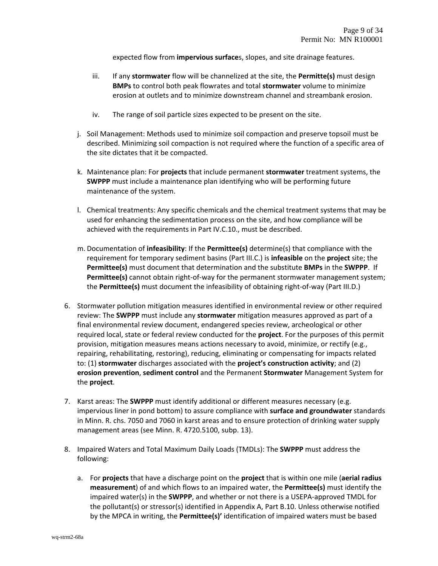expected flow from **impervious surface**s, slopes, and site drainage features.

- iii. If any **stormwater** flow will be channelized at the site, the **Permitte(s)** must design **BMPs** to control both peak flowrates and total **stormwater** volume to minimize erosion at outlets and to minimize downstream channel and streambank erosion.
- iv. The range of soil particle sizes expected to be present on the site.
- j. Soil Management: Methods used to minimize soil compaction and preserve topsoil must be described. Minimizing soil compaction is not required where the function of a specific area of the site dictates that it be compacted.
- k. Maintenance plan: For **projects** that include permanent **stormwater** treatment systems, the **SWPPP** must include a maintenance plan identifying who will be performing future maintenance of the system.
- l. Chemical treatments: Any specific chemicals and the chemical treatment systems that may be used for enhancing the sedimentation process on the site, and how compliance will be achieved with the requirements in Part IV.C.10., must be described.
- m. Documentation of **infeasibility**: If the **Permittee(s)** determine(s) that compliance with the requirement for temporary sediment basins (Part III.C.) is **infeasible** on the **project** site; the **Permittee(s)** must document that determination and the substitute **BMPs** in the **SWPPP**. If **Permittee(s)** cannot obtain right-of-way for the permanent stormwater management system; the **Permittee(s)** must document the infeasibility of obtaining right‐of‐way (Part III.D.)
- 6. Stormwater pollution mitigation measures identified in environmental review or other required review: The **SWPPP** must include any **stormwater** mitigation measures approved as part of a final environmental review document, endangered species review, archeological or other required local, state or federal review conducted for the **project**. For the purposes of this permit provision, mitigation measures means actions necessary to avoid, minimize, or rectify (e.g., repairing, rehabilitating, restoring), reducing, eliminating or compensating for impacts related to: (1) **stormwater** discharges associated with the **project's construction activity**; and (2) **erosion prevention**, **sediment control** and the Permanent **Stormwater** Management System for the **project**.
- 7. Karst areas: The **SWPPP** must identify additional or different measures necessary (e.g. impervious liner in pond bottom) to assure compliance with **surface and groundwater** standards in Minn. R. chs. 7050 and 7060 in karst areas and to ensure protection of drinking water supply management areas (see Minn. R. 4720.5100, subp. 13).
- 8. Impaired Waters and Total Maximum Daily Loads (TMDLs): The **SWPPP** must address the following:
	- a. For **projects** that have a discharge point on the **project** that is within one mile (**aerial radius measurement**) of and which flows to an impaired water, the **Permittee(s)** must identify the impaired water(s) in the **SWPPP**, and whether or not there is a USEPA‐approved TMDL for the pollutant(s) or stressor(s) identified in Appendix A, Part B.10. Unless otherwise notified by the MPCA in writing, the **Permittee(s)'** identification of impaired waters must be based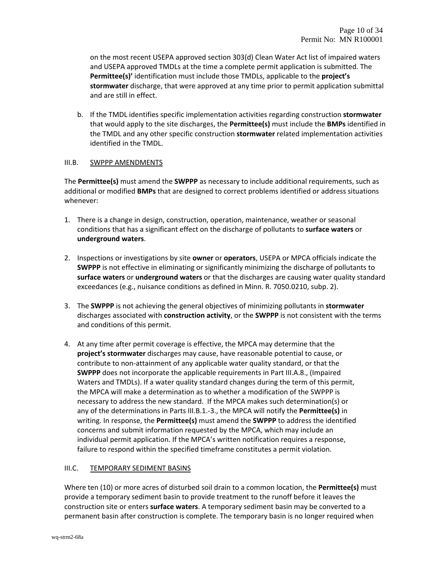on the most recent USEPA approved section 303(d) Clean Water Act list of impaired waters and USEPA approved TMDLs at the time a complete permit application is submitted. The **Permittee(s)'** identification must include those TMDLs, applicable to the **project's stormwater** discharge, that were approved at any time prior to permit application submittal and are still in effect.

b. If the TMDL identifies specific implementation activities regarding construction **stormwater** that would apply to the site discharges, the **Permittee(s)** must include the **BMPs** identified in the TMDL and any other specific construction **stormwater** related implementation activities identified in the TMDL.

### III.B. SWPPP AMENDMENTS

The **Permittee(s)** must amend the **SWPPP** as necessary to include additional requirements, such as additional or modified **BMPs** that are designed to correct problems identified or address situations whenever:

- 1. There is a change in design, construction, operation, maintenance, weather or seasonal conditions that has a significant effect on the discharge of pollutants to **surface waters** or **underground waters**.
- 2. Inspections or investigations by site **owner** or **operators**, USEPA or MPCA officials indicate the **SWPPP** is not effective in eliminating or significantly minimizing the discharge of pollutants to **surface waters** or **underground waters** or that the discharges are causing water quality standard exceedances (e.g., nuisance conditions as defined in Minn. R. 7050.0210, subp. 2).
- 3. The **SWPPP** is not achieving the general objectives of minimizing pollutants in **stormwater** discharges associated with **construction activity**, or the **SWPPP** is not consistent with the terms and conditions of this permit.
- 4. At any time after permit coverage is effective, the MPCA may determine that the **project's stormwater** discharges may cause, have reasonable potential to cause, or contribute to non‐attainment of any applicable water quality standard, or that the **SWPPP** does not incorporate the applicable requirements in Part III.A.8., (Impaired Waters and TMDLs). If a water quality standard changes during the term of this permit, the MPCA will make a determination as to whether a modification of the SWPPP is necessary to address the new standard. If the MPCA makes such determination(s) or any of the determinations in Parts III.B.1.‐3., the MPCA will notify the **Permittee(s)** in writing. In response, the **Permittee(s)** must amend the **SWPPP** to address the identified concerns and submit information requested by the MPCA, which may include an individual permit application. If the MPCA's written notification requires a response, failure to respond within the specified timeframe constitutes a permit violation.

# III.C. TEMPORARY SEDIMENT BASINS

Where ten (10) or more acres of disturbed soil drain to a common location, the **Permittee(s)** must provide a temporary sediment basin to provide treatment to the runoff before it leaves the construction site or enters **surface waters**. A temporary sediment basin may be converted to a permanent basin after construction is complete. The temporary basin is no longer required when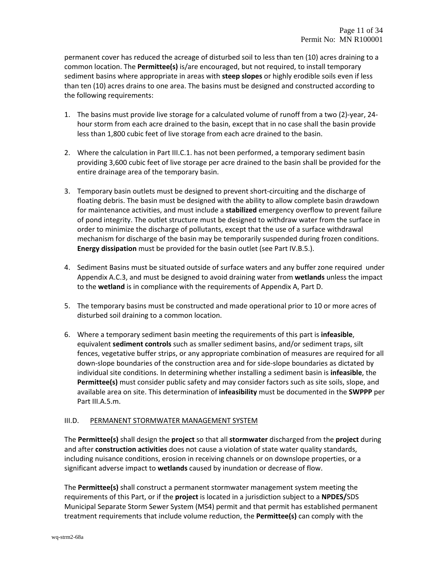permanent cover has reduced the acreage of disturbed soil to less than ten (10) acres draining to a common location. The **Permittee(s)** is/are encouraged, but not required, to install temporary sediment basins where appropriate in areas with **steep slopes** or highly erodible soils even if less than ten (10) acres drains to one area. The basins must be designed and constructed according to the following requirements:

- 1. The basins must provide live storage for a calculated volume of runoff from a two (2)‐year, 24‐ hour storm from each acre drained to the basin, except that in no case shall the basin provide less than 1,800 cubic feet of live storage from each acre drained to the basin.
- 2. Where the calculation in Part III.C.1. has not been performed, a temporary sediment basin providing 3,600 cubic feet of live storage per acre drained to the basin shall be provided for the entire drainage area of the temporary basin.
- 3. Temporary basin outlets must be designed to prevent short-circuiting and the discharge of floating debris. The basin must be designed with the ability to allow complete basin drawdown for maintenance activities, and must include a **stabilized** emergency overflow to prevent failure of pond integrity. The outlet structure must be designed to withdraw water from the surface in order to minimize the discharge of pollutants, except that the use of a surface withdrawal mechanism for discharge of the basin may be temporarily suspended during frozen conditions. **Energy dissipation** must be provided for the basin outlet (see Part IV.B.5.).
- 4. Sediment Basins must be situated outside of surface waters and any buffer zone required under Appendix A.C.3, and must be designed to avoid draining water from **wetlands** unless the impact to the **wetland** is in compliance with the requirements of Appendix A, Part D.
- 5. The temporary basins must be constructed and made operational prior to 10 or more acres of disturbed soil draining to a common location.
- 6. Where a temporary sediment basin meeting the requirements of this part is **infeasible**, equivalent **sediment controls** such as smaller sediment basins, and/or sediment traps, silt fences, vegetative buffer strips, or any appropriate combination of measures are required for all down‐slope boundaries of the construction area and for side‐slope boundaries as dictated by individual site conditions. In determining whether installing a sediment basin is **infeasible**, the **Permittee(s)** must consider public safety and may consider factors such as site soils, slope, and available area on site. This determination of **infeasibility** must be documented in the **SWPPP** per Part III.A.5.m.

# III.D. PERMANENT STORMWATER MANAGEMENT SYSTEM

The **Permittee(s)** shall design the **project** so that all **stormwater** discharged from the **project** during and after **construction activities** does not cause a violation of state water quality standards, including nuisance conditions, erosion in receiving channels or on downslope properties, or a significant adverse impact to **wetlands** caused by inundation or decrease of flow.

The **Permittee(s)** shall construct a permanent stormwater management system meeting the requirements of this Part, or if the **project** is located in a jurisdiction subject to a **NPDES/**SDS Municipal Separate Storm Sewer System (MS4) permit and that permit has established permanent treatment requirements that include volume reduction, the **Permittee(s)** can comply with the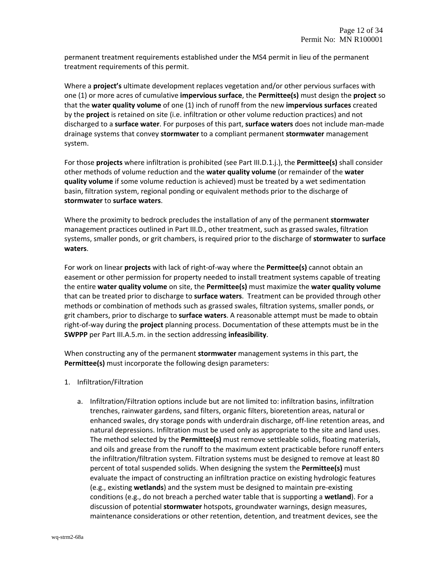permanent treatment requirements established under the MS4 permit in lieu of the permanent treatment requirements of this permit.

Where a **project's** ultimate development replaces vegetation and/or other pervious surfaces with one (1) or more acres of cumulative **impervious surface**, the **Permittee(s)** must design the **project** so that the **water quality volume** of one (1) inch of runoff from the new **impervious surfaces** created by the **project** is retained on site (i.e. infiltration or other volume reduction practices) and not discharged to a **surface water**. For purposes of this part, **surface waters** does not include man‐made drainage systems that convey **stormwater** to a compliant permanent **stormwater** management system.

For those **projects** where infiltration is prohibited (see Part III.D.1.j.), the **Permittee(s)** shall consider other methods of volume reduction and the **water quality volume** (or remainder of the **water quality volume** if some volume reduction is achieved) must be treated by a wet sedimentation basin, filtration system, regional ponding or equivalent methods prior to the discharge of **stormwater** to **surface waters**.

Where the proximity to bedrock precludes the installation of any of the permanent **stormwater** management practices outlined in Part III.D., other treatment, such as grassed swales, filtration systems, smaller ponds, or grit chambers, is required prior to the discharge of **stormwater** to **surface waters**.

For work on linear **projects** with lack of right‐of‐way where the **Permittee(s)** cannot obtain an easement or other permission for property needed to install treatment systems capable of treating the entire **water quality volume** on site, the **Permittee(s)** must maximize the **water quality volume** that can be treated prior to discharge to **surface waters**. Treatment can be provided through other methods or combination of methods such as grassed swales, filtration systems, smaller ponds, or grit chambers, prior to discharge to **surface waters**. A reasonable attempt must be made to obtain right‐of‐way during the **project** planning process. Documentation of these attempts must be in the **SWPPP** per Part III.A.5.m. in the section addressing **infeasibility**.

When constructing any of the permanent **stormwater** management systems in this part, the **Permittee(s)** must incorporate the following design parameters:

- 1. Infiltration/Filtration
	- a. Infiltration/Filtration options include but are not limited to: infiltration basins, infiltration trenches, rainwater gardens, sand filters, organic filters, bioretention areas, natural or enhanced swales, dry storage ponds with underdrain discharge, off‐line retention areas, and natural depressions. Infiltration must be used only as appropriate to the site and land uses. The method selected by the **Permittee(s)** must remove settleable solids, floating materials, and oils and grease from the runoff to the maximum extent practicable before runoff enters the infiltration/filtration system. Filtration systems must be designed to remove at least 80 percent of total suspended solids. When designing the system the **Permittee(s)** must evaluate the impact of constructing an infiltration practice on existing hydrologic features (e.g., existing **wetlands**) and the system must be designed to maintain pre‐existing conditions (e.g., do not breach a perched water table that is supporting a **wetland**). For a discussion of potential **stormwater** hotspots, groundwater warnings, design measures, maintenance considerations or other retention, detention, and treatment devices, see the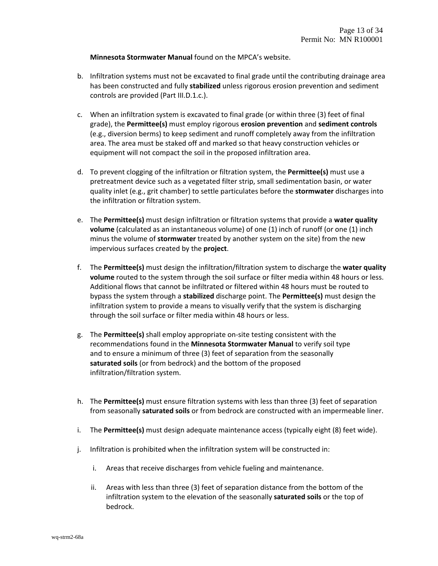**Minnesota Stormwater Manual** found on the MPCA's website.

- b. Infiltration systems must not be excavated to final grade until the contributing drainage area has been constructed and fully **stabilized** unless rigorous erosion prevention and sediment controls are provided (Part III.D.1.c.).
- c. When an infiltration system is excavated to final grade (or within three (3) feet of final grade), the **Permittee(s)** must employ rigorous **erosion prevention** and **sediment controls** (e.g., diversion berms) to keep sediment and runoff completely away from the infiltration area. The area must be staked off and marked so that heavy construction vehicles or equipment will not compact the soil in the proposed infiltration area.
- d. To prevent clogging of the infiltration or filtration system, the **Permittee(s)** must use a pretreatment device such as a vegetated filter strip, small sedimentation basin, or water quality inlet (e.g., grit chamber) to settle particulates before the **stormwater** discharges into the infiltration or filtration system.
- e. The **Permittee(s)** must design infiltration or filtration systems that provide a **water quality volume** (calculated as an instantaneous volume) of one (1) inch of runoff (or one (1) inch minus the volume of **stormwater** treated by another system on the site) from the new impervious surfaces created by the **project**.
- f. The **Permittee(s)** must design the infiltration/filtration system to discharge the **water quality volume** routed to the system through the soil surface or filter media within 48 hours or less. Additional flows that cannot be infiltrated or filtered within 48 hours must be routed to bypass the system through a **stabilized** discharge point. The **Permittee(s)** must design the infiltration system to provide a means to visually verify that the system is discharging through the soil surface or filter media within 48 hours or less.
- g. The **Permittee(s)** shall employ appropriate on‐site testing consistent with the recommendations found in the **Minnesota Stormwater Manual** to verify soil type and to ensure a minimum of three (3) feet of separation from the seasonally **saturated soils** (or from bedrock) and the bottom of the proposed infiltration/filtration system.
- h. The **Permittee(s)** must ensure filtration systems with less than three (3) feet of separation from seasonally **saturated soils** or from bedrock are constructed with an impermeable liner.
- i. The **Permittee(s)** must design adequate maintenance access (typically eight (8) feet wide).
- j. Infiltration is prohibited when the infiltration system will be constructed in:
	- i. Areas that receive discharges from vehicle fueling and maintenance.
	- ii. Areas with less than three (3) feet of separation distance from the bottom of the infiltration system to the elevation of the seasonally **saturated soils** or the top of bedrock.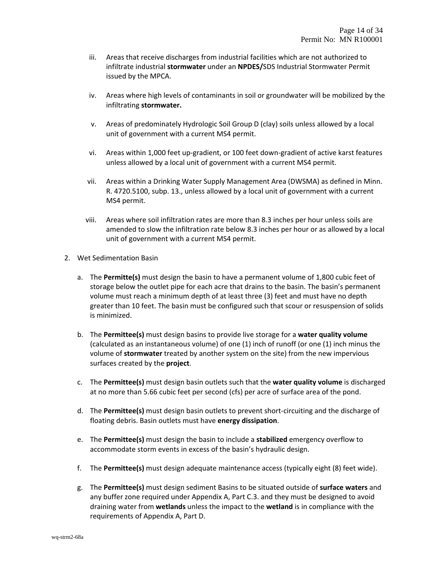- iii. Areas that receive discharges from industrial facilities which are not authorized to infiltrate industrial **stormwater** under an **NPDES/**SDS Industrial Stormwater Permit issued by the MPCA.
- iv. Areas where high levels of contaminants in soil or groundwater will be mobilized by the infiltrating **stormwater.**
- v. Areas of predominately Hydrologic Soil Group D (clay) soils unless allowed by a local unit of government with a current MS4 permit.
- vi. Areas within 1,000 feet up‐gradient, or 100 feet down‐gradient of active karst features unless allowed by a local unit of government with a current MS4 permit.
- vii. Areas within a Drinking Water Supply Management Area (DWSMA) as defined in Minn. R. 4720.5100, subp. 13., unless allowed by a local unit of government with a current MS4 permit.
- viii. Areas where soil infiltration rates are more than 8.3 inches per hour unless soils are amended to slow the infiltration rate below 8.3 inches per hour or as allowed by a local unit of government with a current MS4 permit.
- 2. Wet Sedimentation Basin
	- a. The **Permitte(s)** must design the basin to have a permanent volume of 1,800 cubic feet of storage below the outlet pipe for each acre that drains to the basin. The basin's permanent volume must reach a minimum depth of at least three (3) feet and must have no depth greater than 10 feet. The basin must be configured such that scour or resuspension of solids is minimized.
	- b. The **Permittee(s)** must design basins to provide live storage for a **water quality volume** (calculated as an instantaneous volume) of one (1) inch of runoff (or one (1) inch minus the volume of **stormwater** treated by another system on the site) from the new impervious surfaces created by the **project**.
	- c. The **Permittee(s)** must design basin outlets such that the **water quality volume** is discharged at no more than 5.66 cubic feet per second (cfs) per acre of surface area of the pond.
	- d. The **Permittee(s)** must design basin outlets to prevent short‐circuiting and the discharge of floating debris. Basin outlets must have **energy dissipation**.
	- e. The **Permittee(s)** must design the basin to include a **stabilized** emergency overflow to accommodate storm events in excess of the basin's hydraulic design.
	- f. The **Permittee(s)** must design adequate maintenance access (typically eight (8) feet wide).
	- g. The **Permittee(s)** must design sediment Basins to be situated outside of **surface waters** and any buffer zone required under Appendix A, Part C.3. and they must be designed to avoid draining water from **wetlands** unless the impact to the **wetland** is in compliance with the requirements of Appendix A, Part D.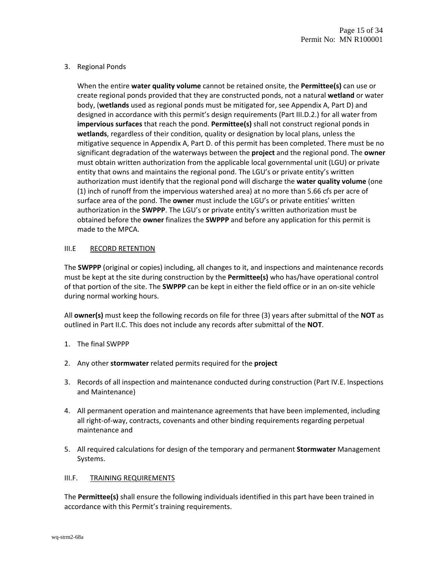# 3. Regional Ponds

When the entire **water quality volume** cannot be retained onsite, the **Permittee(s)** can use or create regional ponds provided that they are constructed ponds, not a natural **wetland** or water body, (**wetlands** used as regional ponds must be mitigated for, see Appendix A, Part D) and designed in accordance with this permit's design requirements (Part III.D.2.) for all water from **impervious surfaces** that reach the pond. **Permittee(s)** shall not construct regional ponds in **wetlands**, regardless of their condition, quality or designation by local plans, unless the mitigative sequence in Appendix A, Part D. of this permit has been completed. There must be no significant degradation of the waterways between the **project** and the regional pond. The **owner** must obtain written authorization from the applicable local governmental unit (LGU) or private entity that owns and maintains the regional pond. The LGU's or private entity's written authorization must identify that the regional pond will discharge the **water quality volume** (one (1) inch of runoff from the impervious watershed area) at no more than 5.66 cfs per acre of surface area of the pond. The **owner** must include the LGU's or private entities' written authorization in the **SWPPP**. The LGU's or private entity's written authorization must be obtained before the **owner** finalizes the **SWPPP** and before any application for this permit is made to the MPCA.

### III.E RECORD RETENTION

The **SWPPP** (original or copies) including, all changes to it, and inspections and maintenance records must be kept at the site during construction by the **Permittee(s)** who has/have operational control of that portion of the site. The **SWPPP** can be kept in either the field office or in an on‐site vehicle during normal working hours.

All **owner(s)** must keep the following records on file for three (3) years after submittal of the **NOT** as outlined in Part II.C. This does not include any records after submittal of the **NOT**.

- 1. The final SWPPP
- 2. Any other **stormwater** related permits required for the **project**
- 3. Records of all inspection and maintenance conducted during construction (Part IV.E. Inspections and Maintenance)
- 4. All permanent operation and maintenance agreements that have been implemented, including all right‐of‐way, contracts, covenants and other binding requirements regarding perpetual maintenance and
- 5. All required calculations for design of the temporary and permanent **Stormwater** Management Systems.

# III.F. TRAINING REQUIREMENTS

The **Permittee(s)** shall ensure the following individuals identified in this part have been trained in accordance with this Permit's training requirements.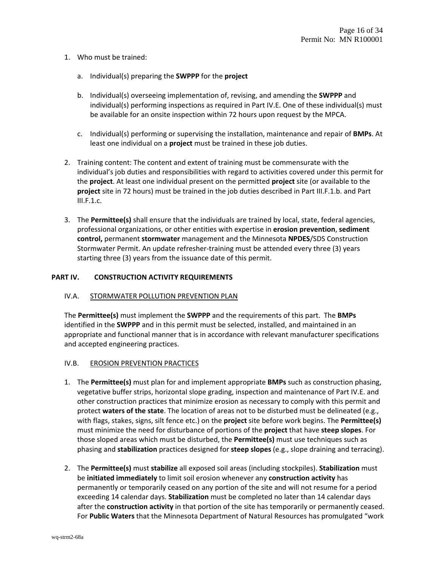- 1. Who must be trained:
	- a. Individual(s) preparing the **SWPPP** for the **project**
	- b. Individual(s) overseeing implementation of, revising, and amending the **SWPPP** and individual(s) performing inspections as required in Part IV.E. One of these individual(s) must be available for an onsite inspection within 72 hours upon request by the MPCA.
	- c. Individual(s) performing or supervising the installation, maintenance and repair of **BMPs**. At least one individual on a **project** must be trained in these job duties.
- 2. Training content: The content and extent of training must be commensurate with the individual's job duties and responsibilities with regard to activities covered under this permit for the **project**. At least one individual present on the permitted **project** site (or available to the **project** site in 72 hours) must be trained in the job duties described in Part III.F.1.b. and Part III.F.1.c.
- 3. The **Permittee(s)** shall ensure that the individuals are trained by local, state, federal agencies, professional organizations, or other entities with expertise in **erosion prevention**, **sediment control,** permanent **stormwater** management and the Minnesota **NPDES**/SDS Construction Stormwater Permit. An update refresher‐training must be attended every three (3) years starting three (3) years from the issuance date of this permit.

#### **PART IV. CONSTRUCTION ACTIVITY REQUIREMENTS**

#### IV.A. STORMWATER POLLUTION PREVENTION PLAN

The **Permittee(s)** must implement the **SWPPP** and the requirements of this part. The **BMPs** identified in the **SWPPP** and in this permit must be selected, installed, and maintained in an appropriate and functional manner that is in accordance with relevant manufacturer specifications and accepted engineering practices.

#### IV.B. EROSION PREVENTION PRACTICES

- 1. The **Permittee(s)** must plan for and implement appropriate **BMPs** such as construction phasing, vegetative buffer strips, horizontal slope grading, inspection and maintenance of Part IV.E. and other construction practices that minimize erosion as necessary to comply with this permit and protect **waters of the state**. The location of areas not to be disturbed must be delineated (e.g., with flags, stakes, signs, silt fence etc.) on the **project** site before work begins. The **Permittee(s)** must minimize the need for disturbance of portions of the **project** that have **steep slopes**. For those sloped areas which must be disturbed, the **Permittee(s)** must use techniques such as phasing and **stabilization** practices designed for **steep slopes** (e.g., slope draining and terracing).
- 2. The **Permittee(s)** must **stabilize** all exposed soil areas (including stockpiles). **Stabilization** must be **initiated immediately** to limit soil erosion whenever any **construction activity** has permanently or temporarily ceased on any portion of the site and will not resume for a period exceeding 14 calendar days. **Stabilization** must be completed no later than 14 calendar days after the **construction activity** in that portion of the site has temporarily or permanently ceased. For **Public Waters** that the Minnesota Department of Natural Resources has promulgated "work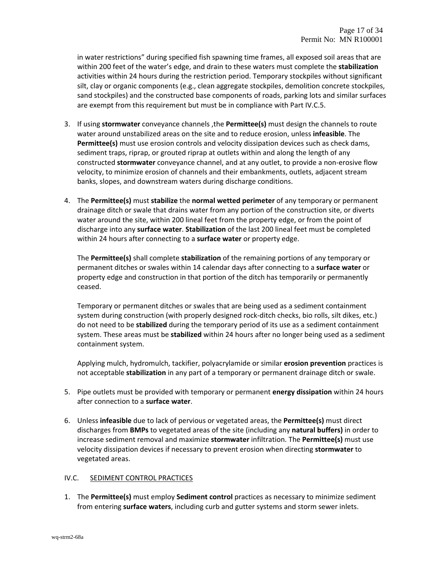in water restrictions" during specified fish spawning time frames, all exposed soil areas that are within 200 feet of the water's edge, and drain to these waters must complete the **stabilization** activities within 24 hours during the restriction period. Temporary stockpiles without significant silt, clay or organic components (e.g., clean aggregate stockpiles, demolition concrete stockpiles, sand stockpiles) and the constructed base components of roads, parking lots and similar surfaces are exempt from this requirement but must be in compliance with Part IV.C.5.

- 3. If using **stormwater** conveyance channels ,the **Permittee(s)** must design the channels to route water around unstabilized areas on the site and to reduce erosion, unless **infeasible**. The **Permittee(s)** must use erosion controls and velocity dissipation devices such as check dams, sediment traps, riprap, or grouted riprap at outlets within and along the length of any constructed **stormwater** conveyance channel, and at any outlet, to provide a non‐erosive flow velocity, to minimize erosion of channels and their embankments, outlets, adjacent stream banks, slopes, and downstream waters during discharge conditions.
- 4. The **Permittee(s)** must **stabilize** the **normal wetted perimeter** of any temporary or permanent drainage ditch or swale that drains water from any portion of the construction site, or diverts water around the site, within 200 lineal feet from the property edge, or from the point of discharge into any **surface water**. **Stabilization** of the last 200 lineal feet must be completed within 24 hours after connecting to a **surface water** or property edge.

The **Permittee(s)** shall complete **stabilization** of the remaining portions of any temporary or permanent ditches or swales within 14 calendar days after connecting to a **surface water** or property edge and construction in that portion of the ditch has temporarily or permanently ceased.

Temporary or permanent ditches or swales that are being used as a sediment containment system during construction (with properly designed rock‐ditch checks, bio rolls, silt dikes, etc.) do not need to be **stabilized** during the temporary period of its use as a sediment containment system. These areas must be **stabilized** within 24 hours after no longer being used as a sediment containment system.

Applying mulch, hydromulch, tackifier, polyacrylamide or similar **erosion prevention** practices is not acceptable **stabilization** in any part of a temporary or permanent drainage ditch or swale.

- 5. Pipe outlets must be provided with temporary or permanent **energy dissipation** within 24 hours after connection to a **surface water**.
- 6. Unless **infeasible** due to lack of pervious or vegetated areas, the **Permittee(s)** must direct discharges from **BMPs** to vegetated areas of the site (including any **natural buffers)** in order to increase sediment removal and maximize **stormwater** infiltration. The **Permittee(s)** must use velocity dissipation devices if necessary to prevent erosion when directing **stormwater** to vegetated areas.

# IV.C. SEDIMENT CONTROL PRACTICES

1. The **Permittee(s)** must employ **Sediment control** practices as necessary to minimize sediment from entering **surface waters**, including curb and gutter systems and storm sewer inlets.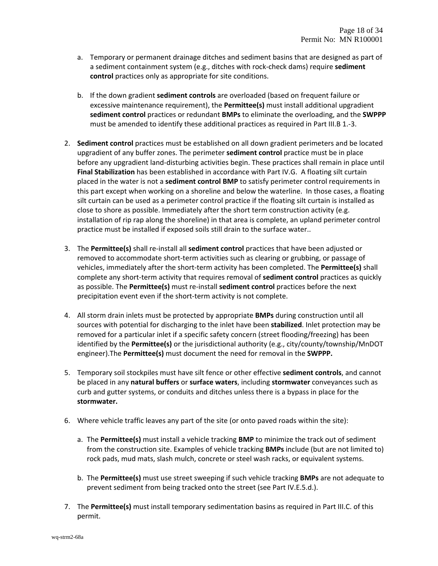- a. Temporary or permanent drainage ditches and sediment basins that are designed as part of a sediment containment system (e.g., ditches with rock‐check dams) require **sediment control** practices only as appropriate for site conditions.
- b. If the down gradient **sediment controls** are overloaded (based on frequent failure or excessive maintenance requirement), the **Permittee(s)** must install additional upgradient **sediment control** practices or redundant **BMPs** to eliminate the overloading, and the **SWPPP** must be amended to identify these additional practices as required in Part III.B 1.‐3.
- 2. **Sediment control** practices must be established on all down gradient perimeters and be located upgradient of any buffer zones. The perimeter **sediment control** practice must be in place before any upgradient land‐disturbing activities begin. These practices shall remain in place until **Final Stabilization** has been established in accordance with Part IV.G. A floating silt curtain placed in the water is not a **sediment control BMP** to satisfy perimeter control requirements in this part except when working on a shoreline and below the waterline. In those cases, a floating silt curtain can be used as a perimeter control practice if the floating silt curtain is installed as close to shore as possible. Immediately after the short term construction activity (e.g. installation of rip rap along the shoreline) in that area is complete, an upland perimeter control practice must be installed if exposed soils still drain to the surface water..
- 3. The **Permittee(s)** shall re‐install all **sediment control** practices that have been adjusted or removed to accommodate short‐term activities such as clearing or grubbing, or passage of vehicles, immediately after the short‐term activity has been completed. The **Permittee(s)** shall complete any short‐term activity that requires removal of **sediment control** practices as quickly as possible. The **Permittee(s)** must re‐install **sediment control** practices before the next precipitation event even if the short‐term activity is not complete.
- 4. All storm drain inlets must be protected by appropriate **BMPs** during construction until all sources with potential for discharging to the inlet have been **stabilized**. Inlet protection may be removed for a particular inlet if a specific safety concern (street flooding/freezing) has been identified by the **Permittee(s)** or the jurisdictional authority (e.g., city/county/township/MnDOT engineer).The **Permittee(s)** must document the need for removal in the **SWPPP.**
- 5. Temporary soil stockpiles must have silt fence or other effective **sediment controls**, and cannot be placed in any **natural buffers** or **surface waters**, including **stormwater** conveyances such as curb and gutter systems, or conduits and ditches unless there is a bypass in place for the **stormwater.**
- 6. Where vehicle traffic leaves any part of the site (or onto paved roads within the site):
	- a. The **Permittee(s)** must install a vehicle tracking **BMP** to minimize the track out of sediment from the construction site. Examples of vehicle tracking **BMPs** include (but are not limited to) rock pads, mud mats, slash mulch, concrete or steel wash racks, or equivalent systems.
	- b. The **Permittee(s)** must use street sweeping if such vehicle tracking **BMPs** are not adequate to prevent sediment from being tracked onto the street (see Part IV.E.5.d.).
- 7. The **Permittee(s)** must install temporary sedimentation basins as required in Part III.C. of this permit.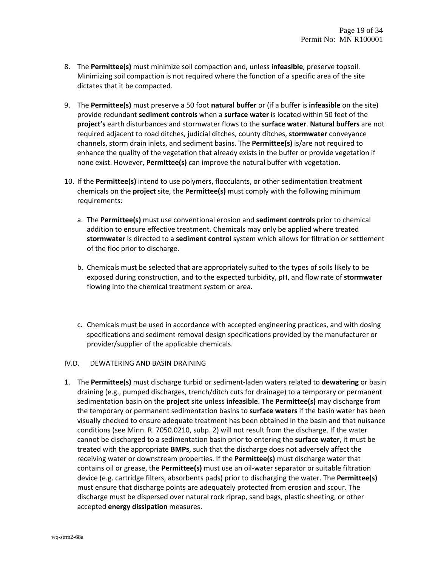- 8. The **Permittee(s)** must minimize soil compaction and, unless **infeasible**, preserve topsoil. Minimizing soil compaction is not required where the function of a specific area of the site dictates that it be compacted.
- 9. The **Permittee(s)** must preserve a 50 foot **natural buffer** or (if a buffer is **infeasible** on the site) provide redundant **sediment controls** when a **surface water** is located within 50 feet of the **project's** earth disturbances and stormwater flows to the **surface water**. **Natural buffers** are not required adjacent to road ditches, judicial ditches, county ditches, **stormwater** conveyance channels, storm drain inlets, and sediment basins. The **Permittee(s)** is/are not required to enhance the quality of the vegetation that already exists in the buffer or provide vegetation if none exist. However, **Permittee(s)** can improve the natural buffer with vegetation.
- 10. If the **Permittee(s)** intend to use polymers, flocculants, or other sedimentation treatment chemicals on the **project** site, the **Permittee(s)** must comply with the following minimum requirements:
	- a. The **Permittee(s)** must use conventional erosion and **sediment controls** prior to chemical addition to ensure effective treatment. Chemicals may only be applied where treated **stormwater** is directed to a **sediment control** system which allows for filtration or settlement of the floc prior to discharge.
	- b. Chemicals must be selected that are appropriately suited to the types of soils likely to be exposed during construction, and to the expected turbidity, pH, and flow rate of **stormwater** flowing into the chemical treatment system or area.
	- c. Chemicals must be used in accordance with accepted engineering practices, and with dosing specifications and sediment removal design specifications provided by the manufacturer or provider/supplier of the applicable chemicals.

# IV.D. DEWATERING AND BASIN DRAINING

1. The **Permittee(s)** must discharge turbid or sediment‐laden waters related to **dewatering** or basin draining (e.g., pumped discharges, trench/ditch cuts for drainage) to a temporary or permanent sedimentation basin on the **project** site unless **infeasible**. The **Permittee(s)** may discharge from the temporary or permanent sedimentation basins to **surface waters** if the basin water has been visually checked to ensure adequate treatment has been obtained in the basin and that nuisance conditions (see Minn. R. 7050.0210, subp. 2) will not result from the discharge. If the water cannot be discharged to a sedimentation basin prior to entering the **surface water**, it must be treated with the appropriate **BMPs**, such that the discharge does not adversely affect the receiving water or downstream properties. If the **Permittee(s)** must discharge water that contains oil or grease, the **Permittee(s)** must use an oil‐water separator or suitable filtration device (e.g. cartridge filters, absorbents pads) prior to discharging the water. The **Permittee(s)** must ensure that discharge points are adequately protected from erosion and scour. The discharge must be dispersed over natural rock riprap, sand bags, plastic sheeting, or other accepted **energy dissipation** measures.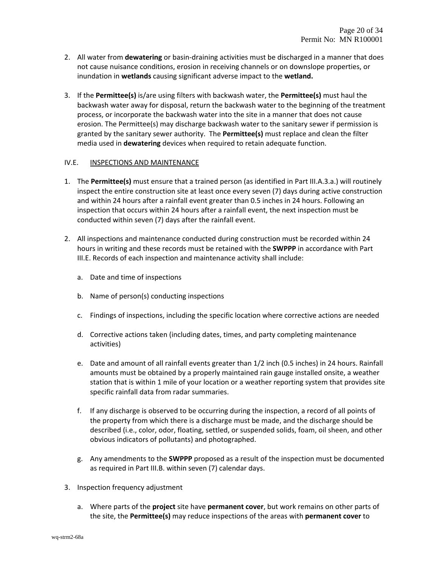- 2. All water from **dewatering** or basin‐draining activities must be discharged in a manner that does not cause nuisance conditions, erosion in receiving channels or on downslope properties, or inundation in **wetlands** causing significant adverse impact to the **wetland.**
- 3. If the **Permittee(s)** is/are using filters with backwash water, the **Permittee(s)** must haul the backwash water away for disposal, return the backwash water to the beginning of the treatment process, or incorporate the backwash water into the site in a manner that does not cause erosion. The Permittee(s) may discharge backwash water to the sanitary sewer if permission is granted by the sanitary sewer authority. The **Permittee(s)** must replace and clean the filter media used in **dewatering** devices when required to retain adequate function.

### IV.E. INSPECTIONS AND MAINTENANCE

- 1. The **Permittee(s)** must ensure that a trained person (as identified in Part III.A.3.a.) will routinely inspect the entire construction site at least once every seven (7) days during active construction and within 24 hours after a rainfall event greater than 0.5 inches in 24 hours. Following an inspection that occurs within 24 hours after a rainfall event, the next inspection must be conducted within seven (7) days after the rainfall event.
- 2. All inspections and maintenance conducted during construction must be recorded within 24 hours in writing and these records must be retained with the **SWPPP** in accordance with Part III.E. Records of each inspection and maintenance activity shall include:
	- a. Date and time of inspections
	- b. Name of person(s) conducting inspections
	- c. Findings of inspections, including the specific location where corrective actions are needed
	- d. Corrective actions taken (including dates, times, and party completing maintenance activities)
	- e. Date and amount of all rainfall events greater than 1/2 inch (0.5 inches) in 24 hours. Rainfall amounts must be obtained by a properly maintained rain gauge installed onsite, a weather station that is within 1 mile of your location or a weather reporting system that provides site specific rainfall data from radar summaries.
	- f. If any discharge is observed to be occurring during the inspection, a record of all points of the property from which there is a discharge must be made, and the discharge should be described (i.e., color, odor, floating, settled, or suspended solids, foam, oil sheen, and other obvious indicators of pollutants) and photographed.
	- g. Any amendments to the **SWPPP** proposed as a result of the inspection must be documented as required in Part III.B. within seven (7) calendar days.
- 3. Inspection frequency adjustment
	- a. Where parts of the **project** site have **permanent cover**, but work remains on other parts of the site, the **Permittee(s)** may reduce inspections of the areas with **permanent cover** to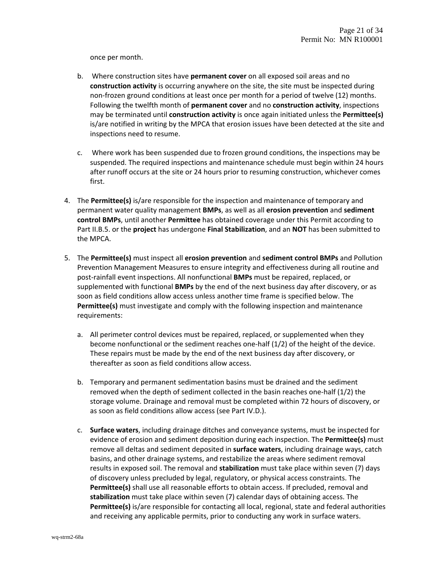once per month.

- b. Where construction sites have **permanent cover** on all exposed soil areas and no **construction activity** is occurring anywhere on the site, the site must be inspected during non‐frozen ground conditions at least once per month for a period of twelve (12) months. Following the twelfth month of **permanent cover** and no **construction activity**, inspections may be terminated until **construction activity** is once again initiated unless the **Permittee(s)** is/are notified in writing by the MPCA that erosion issues have been detected at the site and inspections need to resume.
- c. Where work has been suspended due to frozen ground conditions, the inspections may be suspended. The required inspections and maintenance schedule must begin within 24 hours after runoff occurs at the site or 24 hours prior to resuming construction, whichever comes first.
- 4. The **Permittee(s)** is/are responsible for the inspection and maintenance of temporary and permanent water quality management **BMPs**, as well as all **erosion prevention** and **sediment control BMPs**, until another **Permittee** has obtained coverage under this Permit according to Part II.B.5. or the **project** has undergone **Final Stabilization**, and an **NOT** has been submitted to the MPCA.
- 5. The **Permittee(s)** must inspect all **erosion prevention** and **sediment control BMPs** and Pollution Prevention Management Measures to ensure integrity and effectiveness during all routine and post‐rainfall event inspections. All nonfunctional **BMPs** must be repaired, replaced, or supplemented with functional **BMPs** by the end of the next business day after discovery, or as soon as field conditions allow access unless another time frame is specified below. The **Permittee(s)** must investigate and comply with the following inspection and maintenance requirements:
	- a. All perimeter control devices must be repaired, replaced, or supplemented when they become nonfunctional or the sediment reaches one‐half (1/2) of the height of the device. These repairs must be made by the end of the next business day after discovery, or thereafter as soon as field conditions allow access.
	- b. Temporary and permanent sedimentation basins must be drained and the sediment removed when the depth of sediment collected in the basin reaches one‐half (1/2) the storage volume. Drainage and removal must be completed within 72 hours of discovery, or as soon as field conditions allow access (see Part IV.D.).
	- c. **Surface waters**, including drainage ditches and conveyance systems, must be inspected for evidence of erosion and sediment deposition during each inspection. The **Permittee(s)** must remove all deltas and sediment deposited in **surface waters**, including drainage ways, catch basins, and other drainage systems, and restabilize the areas where sediment removal results in exposed soil. The removal and **stabilization** must take place within seven (7) days of discovery unless precluded by legal, regulatory, or physical access constraints. The **Permittee(s)** shall use all reasonable efforts to obtain access. If precluded, removal and **stabilization** must take place within seven (7) calendar days of obtaining access. The **Permittee(s)** is/are responsible for contacting all local, regional, state and federal authorities and receiving any applicable permits, prior to conducting any work in surface waters.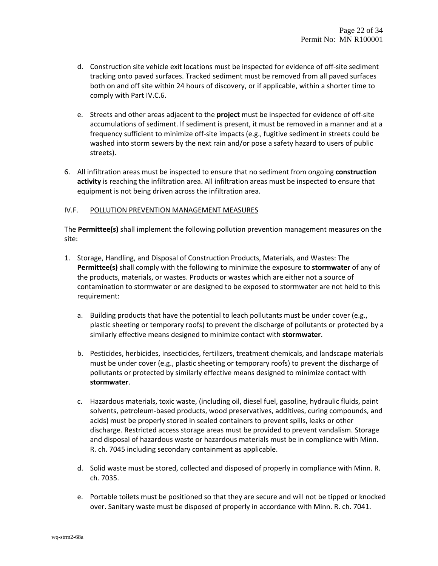- d. Construction site vehicle exit locations must be inspected for evidence of off‐site sediment tracking onto paved surfaces. Tracked sediment must be removed from all paved surfaces both on and off site within 24 hours of discovery, or if applicable, within a shorter time to comply with Part IV.C.6.
- e. Streets and other areas adjacent to the **project** must be inspected for evidence of off‐site accumulations of sediment. If sediment is present, it must be removed in a manner and at a frequency sufficient to minimize off‐site impacts (e.g., fugitive sediment in streets could be washed into storm sewers by the next rain and/or pose a safety hazard to users of public streets).
- 6. All infiltration areas must be inspected to ensure that no sediment from ongoing **construction activity** is reaching the infiltration area. All infiltration areas must be inspected to ensure that equipment is not being driven across the infiltration area.

### IV.F. POLLUTION PREVENTION MANAGEMENT MEASURES

The **Permittee(s)** shall implement the following pollution prevention management measures on the site:

- 1. Storage, Handling, and Disposal of Construction Products, Materials, and Wastes: The **Permittee(s)** shall comply with the following to minimize the exposure to **stormwater** of any of the products, materials, or wastes. Products or wastes which are either not a source of contamination to stormwater or are designed to be exposed to stormwater are not held to this requirement:
	- a. Building products that have the potential to leach pollutants must be under cover (e.g., plastic sheeting or temporary roofs) to prevent the discharge of pollutants or protected by a similarly effective means designed to minimize contact with **stormwater**.
	- b. Pesticides, herbicides, insecticides, fertilizers, treatment chemicals, and landscape materials must be under cover (e.g., plastic sheeting or temporary roofs) to prevent the discharge of pollutants or protected by similarly effective means designed to minimize contact with **stormwater**.
	- c. Hazardous materials, toxic waste, (including oil, diesel fuel, gasoline, hydraulic fluids, paint solvents, petroleum‐based products, wood preservatives, additives, curing compounds, and acids) must be properly stored in sealed containers to prevent spills, leaks or other discharge. Restricted access storage areas must be provided to prevent vandalism. Storage and disposal of hazardous waste or hazardous materials must be in compliance with Minn. R. ch. 7045 including secondary containment as applicable.
	- d. Solid waste must be stored, collected and disposed of properly in compliance with Minn. R. ch. 7035.
	- e. Portable toilets must be positioned so that they are secure and will not be tipped or knocked over. Sanitary waste must be disposed of properly in accordance with Minn. R. ch. 7041.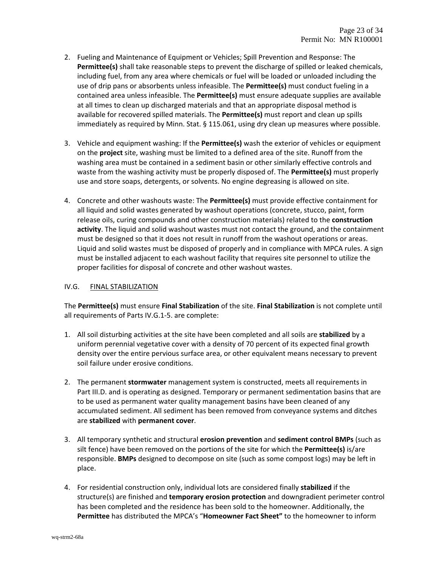- 2. Fueling and Maintenance of Equipment or Vehicles; Spill Prevention and Response: The **Permittee(s)** shall take reasonable steps to prevent the discharge of spilled or leaked chemicals, including fuel, from any area where chemicals or fuel will be loaded or unloaded including the use of drip pans or absorbents unless infeasible. The **Permittee(s)** must conduct fueling in a contained area unless infeasible. The **Permittee(s)** must ensure adequate supplies are available at all times to clean up discharged materials and that an appropriate disposal method is available for recovered spilled materials. The **Permittee(s)** must report and clean up spills immediately as required by Minn. Stat. § 115.061, using dry clean up measures where possible.
- 3. Vehicle and equipment washing: If the **Permittee(s)** wash the exterior of vehicles or equipment on the **project** site, washing must be limited to a defined area of the site. Runoff from the washing area must be contained in a sediment basin or other similarly effective controls and waste from the washing activity must be properly disposed of. The **Permittee(s)** must properly use and store soaps, detergents, or solvents. No engine degreasing is allowed on site.
- 4. Concrete and other washouts waste: The **Permittee(s)** must provide effective containment for all liquid and solid wastes generated by washout operations (concrete, stucco, paint, form release oils, curing compounds and other construction materials) related to the **construction activity**. The liquid and solid washout wastes must not contact the ground, and the containment must be designed so that it does not result in runoff from the washout operations or areas. Liquid and solid wastes must be disposed of properly and in compliance with MPCA rules. A sign must be installed adjacent to each washout facility that requires site personnel to utilize the proper facilities for disposal of concrete and other washout wastes.

### IV.G. FINAL STABILIZATION

The **Permittee(s)** must ensure **Final Stabilization** of the site. **Final Stabilization** is not complete until all requirements of Parts IV.G.1‐5. are complete:

- 1. All soil disturbing activities at the site have been completed and all soils are **stabilized** by a uniform perennial vegetative cover with a density of 70 percent of its expected final growth density over the entire pervious surface area, or other equivalent means necessary to prevent soil failure under erosive conditions.
- 2. The permanent **stormwater** management system is constructed, meets all requirements in Part III.D. and is operating as designed. Temporary or permanent sedimentation basins that are to be used as permanent water quality management basins have been cleaned of any accumulated sediment. All sediment has been removed from conveyance systems and ditches are **stabilized** with **permanent cover**.
- 3. All temporary synthetic and structural **erosion prevention** and **sediment control BMPs** (such as silt fence) have been removed on the portions of the site for which the **Permittee(s)** is/are responsible. **BMPs** designed to decompose on site (such as some compost logs) may be left in place.
- 4. For residential construction only, individual lots are considered finally **stabilized** if the structure(s) are finished and **temporary erosion protection** and downgradient perimeter control has been completed and the residence has been sold to the homeowner. Additionally, the **Permittee** has distributed the MPCA's "**Homeowner Fact Sheet"** to the homeowner to inform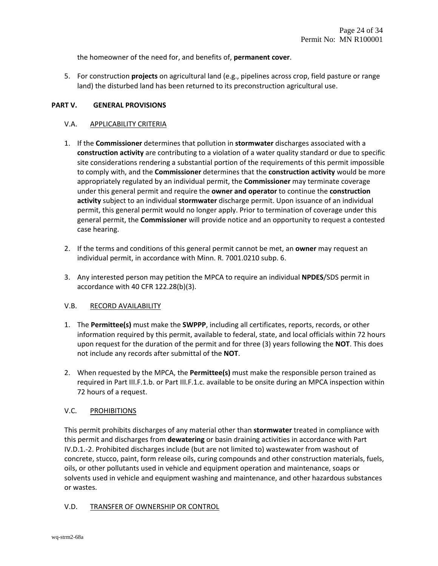the homeowner of the need for, and benefits of, **permanent cover**.

5. For construction **projects** on agricultural land (e.g., pipelines across crop, field pasture or range land) the disturbed land has been returned to its preconstruction agricultural use.

### **PART V. GENERAL PROVISIONS**

### V.A. APPLICABILITY CRITERIA

- 1. If the **Commissioner** determines that pollution in **stormwater** discharges associated with a **construction activity** are contributing to a violation of a water quality standard or due to specific site considerations rendering a substantial portion of the requirements of this permit impossible to comply with, and the **Commissioner** determines that the **construction activity** would be more appropriately regulated by an individual permit, the **Commissioner** may terminate coverage under this general permit and require the **owner and operator** to continue the **construction activity** subject to an individual **stormwater** discharge permit. Upon issuance of an individual permit, this general permit would no longer apply. Prior to termination of coverage under this general permit, the **Commissioner** will provide notice and an opportunity to request a contested case hearing.
- 2. If the terms and conditions of this general permit cannot be met, an **owner** may request an individual permit, in accordance with Minn. R. 7001.0210 subp. 6.
- 3. Any interested person may petition the MPCA to require an individual **NPDES**/SDS permit in accordance with 40 CFR 122.28(b)(3).

#### V.B. RECORD AVAILABILITY

- 1. The **Permittee(s)** must make the **SWPPP**, including all certificates, reports, records, or other information required by this permit, available to federal, state, and local officials within 72 hours upon request for the duration of the permit and for three (3) years following the **NOT**. This does not include any records after submittal of the **NOT**.
- 2. When requested by the MPCA, the **Permittee(s)** must make the responsible person trained as required in Part III.F.1.b. or Part III.F.1.c. available to be onsite during an MPCA inspection within 72 hours of a request.

#### V.C. PROHIBITIONS

This permit prohibits discharges of any material other than **stormwater** treated in compliance with this permit and discharges from **dewatering** or basin draining activities in accordance with Part IV.D.1.-2. Prohibited discharges include (but are not limited to) wastewater from washout of concrete, stucco, paint, form release oils, curing compounds and other construction materials, fuels, oils, or other pollutants used in vehicle and equipment operation and maintenance, soaps or solvents used in vehicle and equipment washing and maintenance, and other hazardous substances or wastes.

#### V.D. TRANSFER OF OWNERSHIP OR CONTROL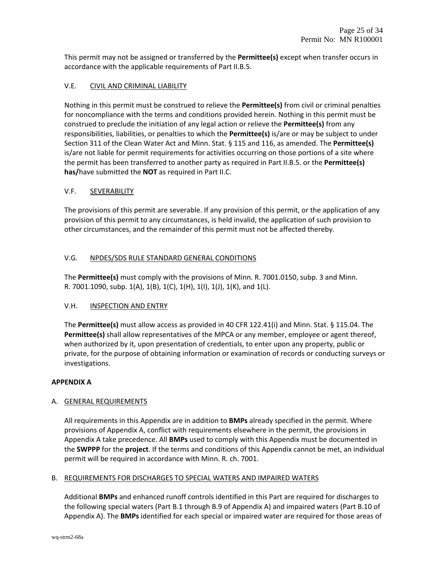This permit may not be assigned or transferred by the **Permittee(s)** except when transfer occurs in accordance with the applicable requirements of Part II.B.5.

# V.E. CIVIL AND CRIMINAL LIABILITY

Nothing in this permit must be construed to relieve the **Permittee(s)** from civil or criminal penalties for noncompliance with the terms and conditions provided herein. Nothing in this permit must be construed to preclude the initiation of any legal action or relieve the **Permittee(s)** from any responsibilities, liabilities, or penalties to which the **Permittee(s)** is/are or may be subject to under Section 311 of the Clean Water Act and Minn. Stat. § 115 and 116, as amended. The **Permittee(s)** is/are not liable for permit requirements for activities occurring on those portions of a site where the permit has been transferred to another party as required in Part II.B.5. or the **Permittee(s) has/**have submitted the **NOT** as required in Part II.C.

### V.F. SEVERABILITY

The provisions of this permit are severable. If any provision of this permit, or the application of any provision of this permit to any circumstances, is held invalid, the application of such provision to other circumstances, and the remainder of this permit must not be affected thereby.

### V.G. NPDES/SDS RULE STANDARD GENERAL CONDITIONS

The **Permittee(s)** must comply with the provisions of Minn. R. 7001.0150, subp. 3 and Minn. R. 7001.1090, subp. 1(A), 1(B), 1(C), 1(H), 1(I), 1(J), 1(K), and 1(L).

#### V.H. INSPECTION AND ENTRY

The **Permittee(s)** must allow access as provided in 40 CFR 122.41(i) and Minn. Stat. § 115.04. The **Permittee(s)** shall allow representatives of the MPCA or any member, employee or agent thereof, when authorized by it, upon presentation of credentials, to enter upon any property, public or private, for the purpose of obtaining information or examination of records or conducting surveys or investigations.

#### **APPENDIX A**

#### A. GENERAL REQUIREMENTS

All requirements in this Appendix are in addition to **BMPs** already specified in the permit. Where provisions of Appendix A, conflict with requirements elsewhere in the permit, the provisions in Appendix A take precedence. All **BMPs** used to comply with this Appendix must be documented in the **SWPPP** for the **project**. If the terms and conditions of this Appendix cannot be met, an individual permit will be required in accordance with Minn. R. ch. 7001.

#### B. REQUIREMENTS FOR DISCHARGES TO SPECIAL WATERS AND IMPAIRED WATERS

Additional **BMPs** and enhanced runoff controls identified in this Part are required for discharges to the following special waters (Part B.1 through B.9 of Appendix A) and impaired waters (Part B.10 of Appendix A). The **BMPs** identified for each special or impaired water are required for those areas of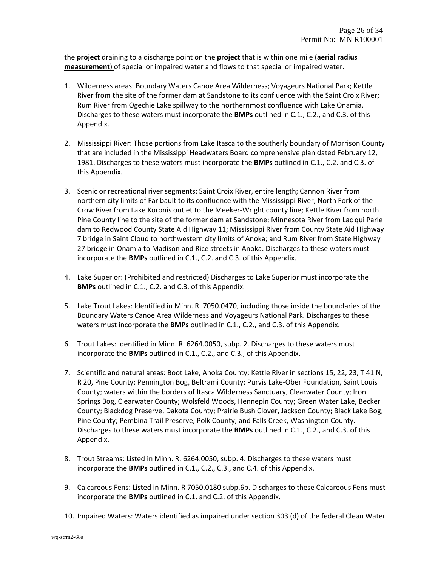the **project** draining to a discharge point on the **project** that is within one mile (**aerial radius measurement**) of special or impaired water and flows to that special or impaired water.

- 1. Wilderness areas: Boundary Waters Canoe Area Wilderness; Voyageurs National Park; Kettle River from the site of the former dam at Sandstone to its confluence with the Saint Croix River; Rum River from Ogechie Lake spillway to the northernmost confluence with Lake Onamia. Discharges to these waters must incorporate the **BMPs** outlined in C.1., C.2., and C.3. of this Appendix.
- 2. Mississippi River: Those portions from Lake Itasca to the southerly boundary of Morrison County that are included in the Mississippi Headwaters Board comprehensive plan dated February 12, 1981. Discharges to these waters must incorporate the **BMPs** outlined in C.1., C.2. and C.3. of this Appendix.
- 3. Scenic or recreational river segments: Saint Croix River, entire length; Cannon River from northern city limits of Faribault to its confluence with the Mississippi River; North Fork of the Crow River from Lake Koronis outlet to the Meeker‐Wright county line; Kettle River from north Pine County line to the site of the former dam at Sandstone; Minnesota River from Lac qui Parle dam to Redwood County State Aid Highway 11; Mississippi River from County State Aid Highway 7 bridge in Saint Cloud to northwestern city limits of Anoka; and Rum River from State Highway 27 bridge in Onamia to Madison and Rice streets in Anoka. Discharges to these waters must incorporate the **BMPs** outlined in C.1., C.2. and C.3. of this Appendix.
- 4. Lake Superior: (Prohibited and restricted) Discharges to Lake Superior must incorporate the **BMPs** outlined in C.1., C.2. and C.3. of this Appendix.
- 5. Lake Trout Lakes: Identified in Minn. R. 7050.0470, including those inside the boundaries of the Boundary Waters Canoe Area Wilderness and Voyageurs National Park. Discharges to these waters must incorporate the **BMPs** outlined in C.1., C.2., and C.3. of this Appendix.
- 6. Trout Lakes: Identified in Minn. R. 6264.0050, subp. 2. Discharges to these waters must incorporate the **BMPs** outlined in C.1., C.2., and C.3., of this Appendix.
- 7. Scientific and natural areas: Boot Lake, Anoka County; Kettle River in sections 15, 22, 23, T 41 N, R 20, Pine County; Pennington Bog, Beltrami County; Purvis Lake‐Ober Foundation, Saint Louis County; waters within the borders of Itasca Wilderness Sanctuary, Clearwater County; Iron Springs Bog, Clearwater County; Wolsfeld Woods, Hennepin County; Green Water Lake, Becker County; Blackdog Preserve, Dakota County; Prairie Bush Clover, Jackson County; Black Lake Bog, Pine County; Pembina Trail Preserve, Polk County; and Falls Creek, Washington County. Discharges to these waters must incorporate the **BMPs** outlined in C.1., C.2., and C.3. of this Appendix.
- 8. Trout Streams: Listed in Minn. R. 6264.0050, subp. 4. Discharges to these waters must incorporate the **BMPs** outlined in C.1., C.2., C.3., and C.4. of this Appendix.
- 9. Calcareous Fens: Listed in Minn. R 7050.0180 subp.6b. Discharges to these Calcareous Fens must incorporate the **BMPs** outlined in C.1. and C.2. of this Appendix.
- 10. Impaired Waters: Waters identified as impaired under section 303 (d) of the federal Clean Water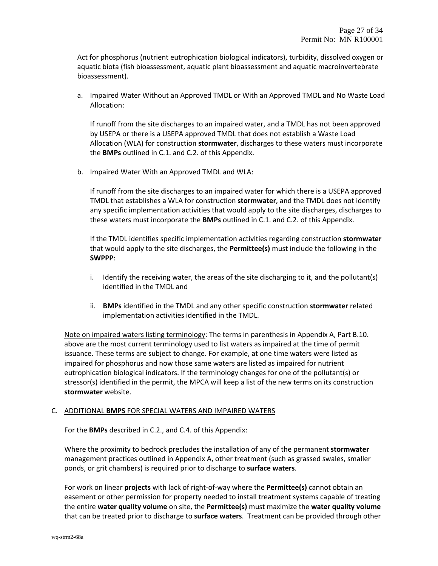Act for phosphorus (nutrient eutrophication biological indicators), turbidity, dissolved oxygen or aquatic biota (fish bioassessment, aquatic plant bioassessment and aquatic macroinvertebrate bioassessment).

a. Impaired Water Without an Approved TMDL or With an Approved TMDL and No Waste Load Allocation:

If runoff from the site discharges to an impaired water, and a TMDL has not been approved by USEPA or there is a USEPA approved TMDL that does not establish a Waste Load Allocation (WLA) for construction **stormwater**, discharges to these waters must incorporate the **BMPs** outlined in C.1. and C.2. of this Appendix.

b. Impaired Water With an Approved TMDL and WLA:

If runoff from the site discharges to an impaired water for which there is a USEPA approved TMDL that establishes a WLA for construction **stormwater**, and the TMDL does not identify any specific implementation activities that would apply to the site discharges, discharges to these waters must incorporate the **BMPs** outlined in C.1. and C.2. of this Appendix.

If the TMDL identifies specific implementation activities regarding construction **stormwater** that would apply to the site discharges, the **Permittee(s)** must include the following in the **SWPPP**:

- i. Identify the receiving water, the areas of the site discharging to it, and the pollutant(s) identified in the TMDL and
- ii. **BMPs** identified in the TMDL and any other specific construction **stormwater** related implementation activities identified in the TMDL.

Note on impaired waters listing terminology: The terms in parenthesis in Appendix A, Part B.10. above are the most current terminology used to list waters as impaired at the time of permit issuance. These terms are subject to change. For example, at one time waters were listed as impaired for phosphorus and now those same waters are listed as impaired for nutrient eutrophication biological indicators. If the terminology changes for one of the pollutant(s) or stressor(s) identified in the permit, the MPCA will keep a list of the new terms on its construction **stormwater** website.

#### C. ADDITIONAL **BMPS** FOR SPECIAL WATERS AND IMPAIRED WATERS

For the **BMPs** described in C.2., and C.4. of this Appendix:

Where the proximity to bedrock precludes the installation of any of the permanent **stormwater** management practices outlined in Appendix A, other treatment (such as grassed swales, smaller ponds, or grit chambers) is required prior to discharge to **surface waters**.

For work on linear **projects** with lack of right‐of‐way where the **Permittee(s)** cannot obtain an easement or other permission for property needed to install treatment systems capable of treating the entire **water quality volume** on site, the **Permittee(s)** must maximize the **water quality volume** that can be treated prior to discharge to **surface waters**. Treatment can be provided through other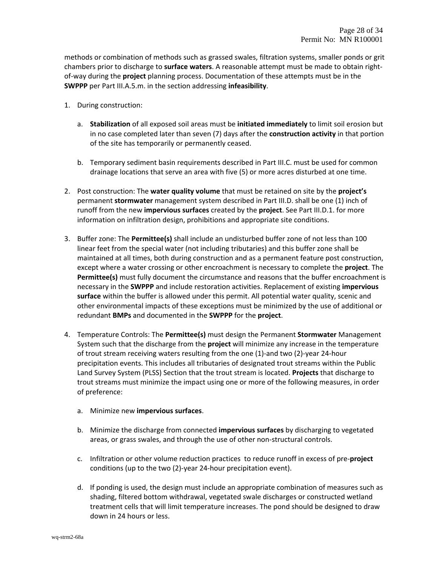methods or combination of methods such as grassed swales, filtration systems, smaller ponds or grit chambers prior to discharge to **surface waters**. A reasonable attempt must be made to obtain right‐ of‐way during the **project** planning process. Documentation of these attempts must be in the **SWPPP** per Part III.A.5.m. in the section addressing **infeasibility**.

- 1. During construction:
	- a. **Stabilization** of all exposed soil areas must be **initiated immediately** to limit soil erosion but in no case completed later than seven (7) days after the **construction activity** in that portion of the site has temporarily or permanently ceased.
	- b. Temporary sediment basin requirements described in Part III.C. must be used for common drainage locations that serve an area with five (5) or more acres disturbed at one time.
- 2. Post construction: The **water quality volume** that must be retained on site by the **project's** permanent **stormwater** management system described in Part III.D. shall be one (1) inch of runoff from the new **impervious surfaces** created by the **project**. See Part III.D.1. for more information on infiltration design, prohibitions and appropriate site conditions.
- 3. Buffer zone: The **Permittee(s)** shall include an undisturbed buffer zone of not less than 100 linear feet from the special water (not including tributaries) and this buffer zone shall be maintained at all times, both during construction and as a permanent feature post construction, except where a water crossing or other encroachment is necessary to complete the **project**. The **Permittee(s)** must fully document the circumstance and reasons that the buffer encroachment is necessary in the **SWPPP** and include restoration activities. Replacement of existing **impervious surface** within the buffer is allowed under this permit. All potential water quality, scenic and other environmental impacts of these exceptions must be minimized by the use of additional or redundant **BMPs** and documented in the **SWPPP** for the **project**.
- 4. Temperature Controls: The **Permittee(s)** must design the Permanent **Stormwater** Management System such that the discharge from the **project** will minimize any increase in the temperature of trout stream receiving waters resulting from the one (1)‐and two (2)‐year 24‐hour precipitation events. This includes all tributaries of designated trout streams within the Public Land Survey System (PLSS) Section that the trout stream is located. **Projects** that discharge to trout streams must minimize the impact using one or more of the following measures, in order of preference:
	- a. Minimize new **impervious surfaces**.
	- b. Minimize the discharge from connected **impervious surfaces** by discharging to vegetated areas, or grass swales, and through the use of other non‐structural controls.
	- c. Infiltration or other volume reduction practices to reduce runoff in excess of pre‐**project** conditions (up to the two (2)‐year 24‐hour precipitation event).
	- d. If ponding is used, the design must include an appropriate combination of measures such as shading, filtered bottom withdrawal, vegetated swale discharges or constructed wetland treatment cells that will limit temperature increases. The pond should be designed to draw down in 24 hours or less.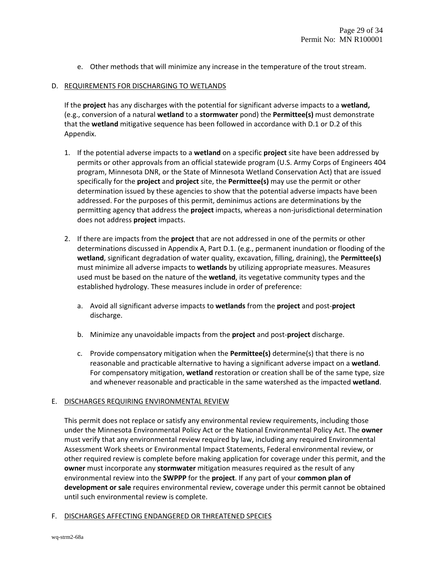e. Other methods that will minimize any increase in the temperature of the trout stream.

#### D. REQUIREMENTS FOR DISCHARGING TO WETLANDS

If the **project** has any discharges with the potential for significant adverse impacts to a **wetland,** (e.g., conversion of a natural **wetland** to a **stormwater** pond) the **Permittee(s)** must demonstrate that the **wetland** mitigative sequence has been followed in accordance with D.1 or D.2 of this Appendix.

- 1. If the potential adverse impacts to a **wetland** on a specific **project** site have been addressed by permits or other approvals from an official statewide program (U.S. Army Corps of Engineers 404 program, Minnesota DNR, or the State of Minnesota Wetland Conservation Act) that are issued specifically for the **project** and **project** site, the **Permittee(s)** may use the permit or other determination issued by these agencies to show that the potential adverse impacts have been addressed. For the purposes of this permit, deminimus actions are determinations by the permitting agency that address the **project** impacts, whereas a non-jurisdictional determination does not address **project** impacts.
- 2. If there are impacts from the **project** that are not addressed in one of the permits or other determinations discussed in Appendix A, Part D.1. (e.g., permanent inundation or flooding of the **wetland**, significant degradation of water quality, excavation, filling, draining), the **Permittee(s)** must minimize all adverse impacts to **wetlands** by utilizing appropriate measures. Measures used must be based on the nature of the **wetland**, its vegetative community types and the established hydrology. These measures include in order of preference:
	- a. Avoid all significant adverse impacts to **wetlands** from the **project** and post‐**project** discharge.
	- b. Minimize any unavoidable impacts from the **project** and post‐**project** discharge.
	- c. Provide compensatory mitigation when the **Permittee(s)** determine(s) that there is no reasonable and practicable alternative to having a significant adverse impact on a **wetland**. For compensatory mitigation, **wetland** restoration or creation shall be of the same type, size and whenever reasonable and practicable in the same watershed as the impacted **wetland**.

#### E. DISCHARGES REQUIRING ENVIRONMENTAL REVIEW

This permit does not replace or satisfy any environmental review requirements, including those under the Minnesota Environmental Policy Act or the National Environmental Policy Act. The **owner** must verify that any environmental review required by law, including any required Environmental Assessment Work sheets or Environmental Impact Statements, Federal environmental review, or other required review is complete before making application for coverage under this permit, and the **owner** must incorporate any **stormwater** mitigation measures required as the result of any environmental review into the **SWPPP** for the **project**. If any part of your **common plan of development or sale** requires environmental review, coverage under this permit cannot be obtained until such environmental review is complete.

#### F. DISCHARGES AFFECTING ENDANGERED OR THREATENED SPECIES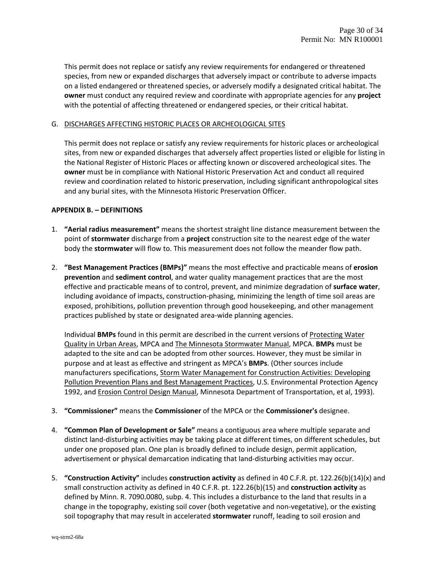This permit does not replace or satisfy any review requirements for endangered or threatened species, from new or expanded discharges that adversely impact or contribute to adverse impacts on a listed endangered or threatened species, or adversely modify a designated critical habitat. The **owner** must conduct any required review and coordinate with appropriate agencies for any **project** with the potential of affecting threatened or endangered species, or their critical habitat.

#### G. DISCHARGES AFFECTING HISTORIC PLACES OR ARCHEOLOGICAL SITES

This permit does not replace or satisfy any review requirements for historic places or archeological sites, from new or expanded discharges that adversely affect properties listed or eligible for listing in the National Register of Historic Places or affecting known or discovered archeological sites. The **owner** must be in compliance with National Historic Preservation Act and conduct all required review and coordination related to historic preservation, including significant anthropological sites and any burial sites, with the Minnesota Historic Preservation Officer.

### **APPENDIX B. – DEFINITIONS**

- 1. **"Aerial radius measurement"** means the shortest straight line distance measurement between the point of **stormwater** discharge from a **project** construction site to the nearest edge of the water body the **stormwater** will flow to. This measurement does not follow the meander flow path.
- 2. **"Best Management Practices (BMPs)"** means the most effective and practicable means of **erosion prevention** and **sediment control**, and water quality management practices that are the most effective and practicable means of to control, prevent, and minimize degradation of **surface water**, including avoidance of impacts, construction‐phasing, minimizing the length of time soil areas are exposed, prohibitions, pollution prevention through good housekeeping, and other management practices published by state or designated area‐wide planning agencies.

Individual **BMPs** found in this permit are described in the current versions of Protecting Water Quality in Urban Areas, MPCA and The Minnesota Stormwater Manual, MPCA. **BMPs** must be adapted to the site and can be adopted from other sources. However, they must be similar in purpose and at least as effective and stringent as MPCA's **BMPs**. (Other sources include manufacturers specifications, Storm Water Management for Construction Activities: Developing Pollution Prevention Plans and Best Management Practices, U.S. Environmental Protection Agency 1992, and Erosion Control Design Manual, Minnesota Department of Transportation, et al, 1993).

- 3. **"Commissioner"** means the **Commissioner** of the MPCA or the **Commissioner's** designee.
- 4. **"Common Plan of Development or Sale"** means a contiguous area where multiple separate and distinct land‐disturbing activities may be taking place at different times, on different schedules, but under one proposed plan. One plan is broadly defined to include design, permit application, advertisement or physical demarcation indicating that land‐disturbing activities may occur.
- 5. **"Construction Activity"** includes **construction activity** as defined in 40 C.F.R. pt. 122.26(b)(14)(x) and small construction activity as defined in 40 C.F.R. pt. 122.26(b)(15) and **construction activity** as defined by Minn. R. 7090.0080, subp. 4. This includes a disturbance to the land that results in a change in the topography, existing soil cover (both vegetative and non-vegetative), or the existing soil topography that may result in accelerated **stormwater** runoff, leading to soil erosion and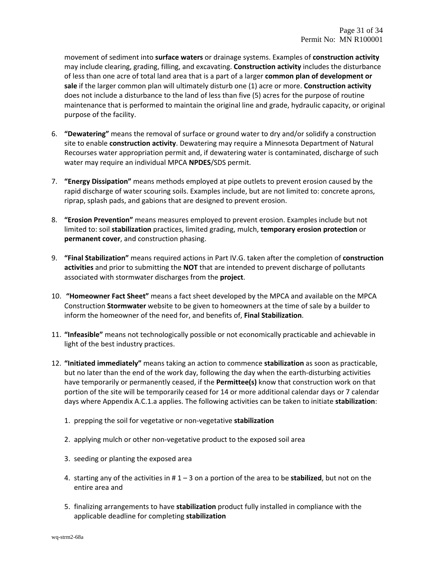movement of sediment into **surface waters** or drainage systems. Examples of **construction activity** may include clearing, grading, filling, and excavating. **Construction activity** includes the disturbance of less than one acre of total land area that is a part of a larger **common plan of development or sale** if the larger common plan will ultimately disturb one (1) acre or more. **Construction activity** does not include a disturbance to the land of less than five (5) acres for the purpose of routine maintenance that is performed to maintain the original line and grade, hydraulic capacity, or original purpose of the facility.

- 6. **"Dewatering"** means the removal of surface or ground water to dry and/or solidify a construction site to enable **construction activity**. Dewatering may require a Minnesota Department of Natural Recourses water appropriation permit and, if dewatering water is contaminated, discharge of such water may require an individual MPCA **NPDES**/SDS permit.
- 7. **"Energy Dissipation"** means methods employed at pipe outlets to prevent erosion caused by the rapid discharge of water scouring soils. Examples include, but are not limited to: concrete aprons, riprap, splash pads, and gabions that are designed to prevent erosion.
- 8. **"Erosion Prevention"** means measures employed to prevent erosion. Examples include but not limited to: soil **stabilization** practices, limited grading, mulch, **temporary erosion protection** or **permanent cover**, and construction phasing.
- 9. **"Final Stabilization"** means required actions in Part IV.G. taken after the completion of **construction activities** and prior to submitting the **NOT** that are intended to prevent discharge of pollutants associated with stormwater discharges from the **project**.
- 10. **"Homeowner Fact Sheet"** means a fact sheet developed by the MPCA and available on the MPCA Construction **Stormwater** website to be given to homeowners at the time of sale by a builder to inform the homeowner of the need for, and benefits of, **Final Stabilization**.
- 11. **"Infeasible"** means not technologically possible or not economically practicable and achievable in light of the best industry practices.
- 12. **"Initiated immediately"** means taking an action to commence **stabilization** as soon as practicable, but no later than the end of the work day, following the day when the earth‐disturbing activities have temporarily or permanently ceased, if the **Permittee(s)** know that construction work on that portion of the site will be temporarily ceased for 14 or more additional calendar days or 7 calendar days where Appendix A.C.1.a applies. The following activities can be taken to initiate **stabilization**:
	- 1. prepping the soil for vegetative or non‐vegetative **stabilization**
	- 2. applying mulch or other non‐vegetative product to the exposed soil area
	- 3. seeding or planting the exposed area
	- 4. starting any of the activities in # 1 3 on a portion of the area to be **stabilized**, but not on the entire area and
	- 5. finalizing arrangements to have **stabilization** product fully installed in compliance with the applicable deadline for completing **stabilization**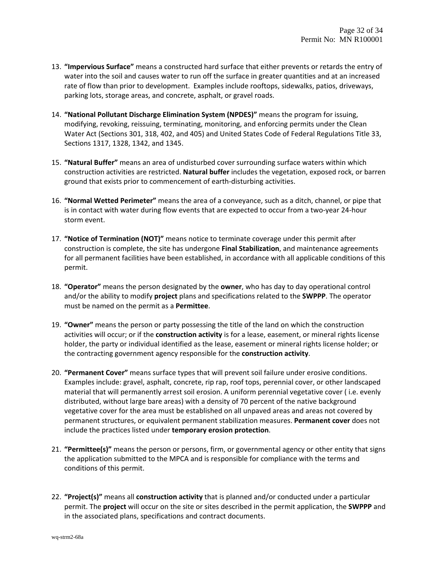- 13. **"Impervious Surface"** means a constructed hard surface that either prevents or retards the entry of water into the soil and causes water to run off the surface in greater quantities and at an increased rate of flow than prior to development. Examples include rooftops, sidewalks, patios, driveways, parking lots, storage areas, and concrete, asphalt, or gravel roads.
- 14. **"National Pollutant Discharge Elimination System (NPDES)"** means the program for issuing, modifying, revoking, reissuing, terminating, monitoring, and enforcing permits under the Clean Water Act (Sections 301, 318, 402, and 405) and United States Code of Federal Regulations Title 33, Sections 1317, 1328, 1342, and 1345.
- 15. **"Natural Buffer"** means an area of undisturbed cover surrounding surface waters within which construction activities are restricted. **Natural buffer** includes the vegetation, exposed rock, or barren ground that exists prior to commencement of earth‐disturbing activities.
- 16. **"Normal Wetted Perimeter"** means the area of a conveyance, such as a ditch, channel, or pipe that is in contact with water during flow events that are expected to occur from a two‐year 24‐hour storm event.
- 17. **"Notice of Termination (NOT)"** means notice to terminate coverage under this permit after construction is complete, the site has undergone **Final Stabilization**, and maintenance agreements for all permanent facilities have been established, in accordance with all applicable conditions of this permit.
- 18. **"Operator"** means the person designated by the **owner**, who has day to day operational control and/or the ability to modify **project** plans and specifications related to the **SWPPP**. The operator must be named on the permit as a **Permittee**.
- 19. **"Owner"** means the person or party possessing the title of the land on which the construction activities will occur; or if the **construction activity** is for a lease, easement, or mineral rights license holder, the party or individual identified as the lease, easement or mineral rights license holder; or the contracting government agency responsible for the **construction activity**.
- 20. **"Permanent Cover"** means surface types that will prevent soil failure under erosive conditions. Examples include: gravel, asphalt, concrete, rip rap, roof tops, perennial cover, or other landscaped material that will permanently arrest soil erosion. A uniform perennial vegetative cover ( i.e. evenly distributed, without large bare areas) with a density of 70 percent of the native background vegetative cover for the area must be established on all unpaved areas and areas not covered by permanent structures, or equivalent permanent stabilization measures. **Permanent cover** does not include the practices listed under **temporary erosion protection**.
- 21. **"Permittee(s)"** means the person or persons, firm, or governmental agency or other entity that signs the application submitted to the MPCA and is responsible for compliance with the terms and conditions of this permit.
- 22. **"Project(s)"** means all **construction activity** that is planned and/or conducted under a particular permit. The **project** will occur on the site or sites described in the permit application, the **SWPPP** and in the associated plans, specifications and contract documents.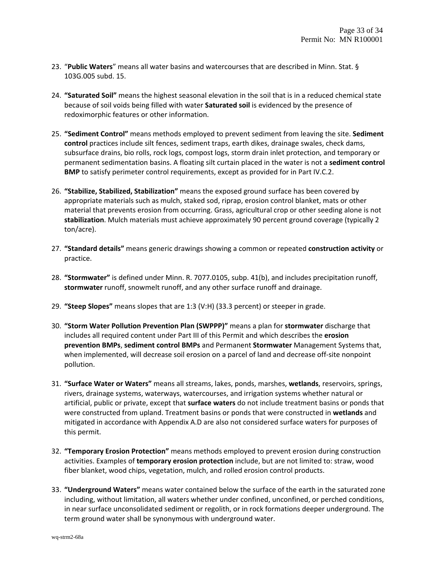- 23. "**Public Waters**" means all water basins and watercourses that are described in Minn. Stat. § 103G.005 subd. 15.
- 24. **"Saturated Soil"** means the highest seasonal elevation in the soil that is in a reduced chemical state because of soil voids being filled with water **Saturated soil** is evidenced by the presence of redoximorphic features or other information.
- 25. **"Sediment Control"** means methods employed to prevent sediment from leaving the site. **Sediment control** practices include silt fences, sediment traps, earth dikes, drainage swales, check dams, subsurface drains, bio rolls, rock logs, compost logs, storm drain inlet protection, and temporary or permanent sedimentation basins. A floating silt curtain placed in the water is not a **sediment control BMP** to satisfy perimeter control requirements, except as provided for in Part IV.C.2.
- 26. **"Stabilize, Stabilized, Stabilization"** means the exposed ground surface has been covered by appropriate materials such as mulch, staked sod, riprap, erosion control blanket, mats or other material that prevents erosion from occurring. Grass, agricultural crop or other seeding alone is not **stabilization**. Mulch materials must achieve approximately 90 percent ground coverage (typically 2 ton/acre).
- 27. **"Standard details"** means generic drawings showing a common or repeated **construction activity** or practice.
- 28. **"Stormwater"** is defined under Minn. R. 7077.0105, subp. 41(b), and includes precipitation runoff, **stormwater** runoff, snowmelt runoff, and any other surface runoff and drainage.
- 29. **"Steep Slopes"** means slopes that are 1:3 (V:H) (33.3 percent) or steeper in grade.
- 30. **"Storm Water Pollution Prevention Plan (SWPPP)"** means a plan for **stormwater** discharge that includes all required content under Part III of this Permit and which describes the **erosion prevention BMPs**, **sediment control BMPs** and Permanent **Stormwater** Management Systems that, when implemented, will decrease soil erosion on a parcel of land and decrease off‐site nonpoint pollution.
- 31. **"Surface Water or Waters"** means all streams, lakes, ponds, marshes, **wetlands**, reservoirs, springs, rivers, drainage systems, waterways, watercourses, and irrigation systems whether natural or artificial, public or private, except that **surface waters** do not include treatment basins or ponds that were constructed from upland. Treatment basins or ponds that were constructed in **wetlands** and mitigated in accordance with Appendix A.D are also not considered surface waters for purposes of this permit.
- 32. **"Temporary Erosion Protection"** means methods employed to prevent erosion during construction activities. Examples of **temporary erosion protection** include, but are not limited to: straw, wood fiber blanket, wood chips, vegetation, mulch, and rolled erosion control products.
- 33. **"Underground Waters"** means water contained below the surface of the earth in the saturated zone including, without limitation, all waters whether under confined, unconfined, or perched conditions, in near surface unconsolidated sediment or regolith, or in rock formations deeper underground. The term ground water shall be synonymous with underground water.